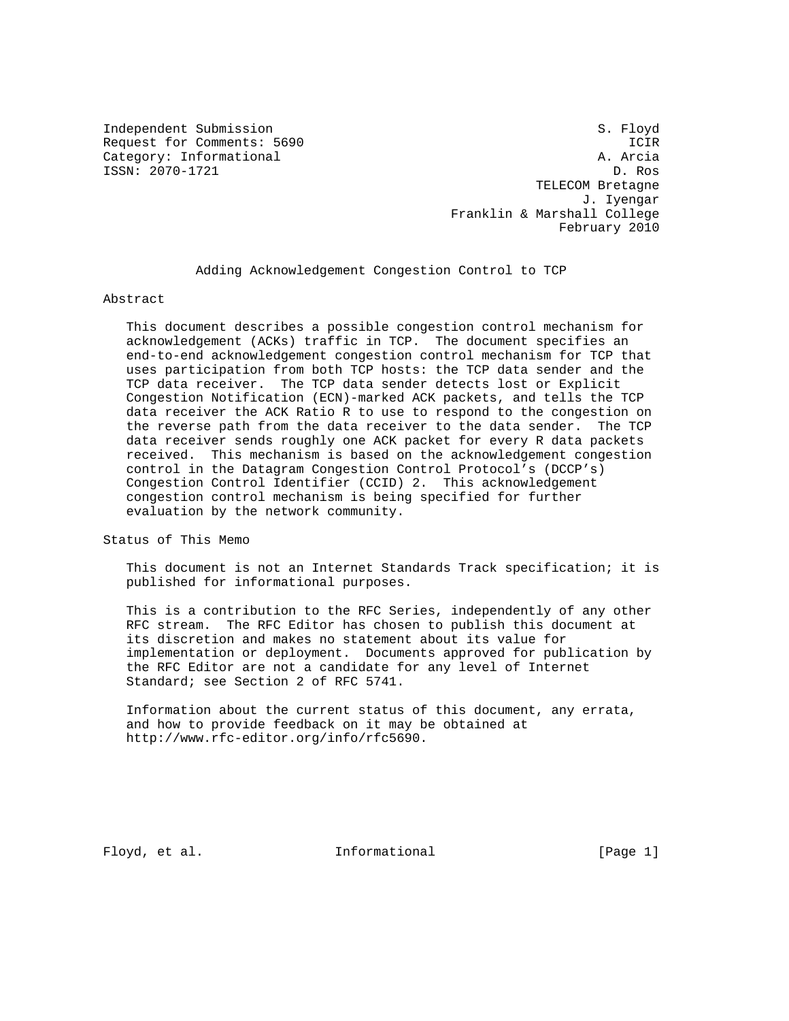Independent Submission Same Submission S. Floyd Category: Informational

Request for Comments: 5690 ICIR<br>Category: Informational example: A. Arcia ISSN: 2070-1721 D. Ros TELECOM Bretagne J. Iyengar Franklin & Marshall College February 2010

# Adding Acknowledgement Congestion Control to TCP

Abstract

 This document describes a possible congestion control mechanism for acknowledgement (ACKs) traffic in TCP. The document specifies an end-to-end acknowledgement congestion control mechanism for TCP that uses participation from both TCP hosts: the TCP data sender and the TCP data receiver. The TCP data sender detects lost or Explicit Congestion Notification (ECN)-marked ACK packets, and tells the TCP data receiver the ACK Ratio R to use to respond to the congestion on the reverse path from the data receiver to the data sender. The TCP data receiver sends roughly one ACK packet for every R data packets received. This mechanism is based on the acknowledgement congestion control in the Datagram Congestion Control Protocol's (DCCP's) Congestion Control Identifier (CCID) 2. This acknowledgement congestion control mechanism is being specified for further evaluation by the network community.

Status of This Memo

 This document is not an Internet Standards Track specification; it is published for informational purposes.

 This is a contribution to the RFC Series, independently of any other RFC stream. The RFC Editor has chosen to publish this document at its discretion and makes no statement about its value for implementation or deployment. Documents approved for publication by the RFC Editor are not a candidate for any level of Internet Standard; see Section 2 of RFC 5741.

 Information about the current status of this document, any errata, and how to provide feedback on it may be obtained at http://www.rfc-editor.org/info/rfc5690.

Floyd, et al.  $\qquad \qquad$  Informational  $[Page 1]$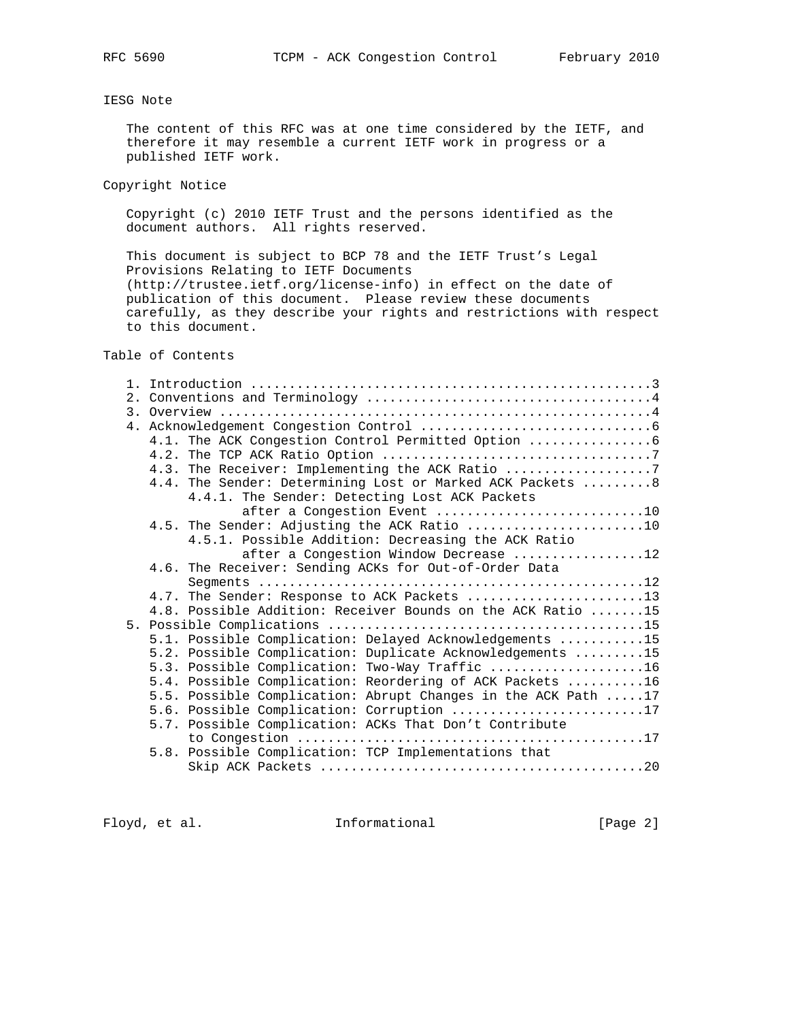# IESG Note

 The content of this RFC was at one time considered by the IETF, and therefore it may resemble a current IETF work in progress or a published IETF work.

Copyright Notice

 Copyright (c) 2010 IETF Trust and the persons identified as the document authors. All rights reserved.

 This document is subject to BCP 78 and the IETF Trust's Legal Provisions Relating to IETF Documents (http://trustee.ietf.org/license-info) in effect on the date of publication of this document. Please review these documents carefully, as they describe your rights and restrictions with respect to this document.

Table of Contents

|  | 4.3. The Receiver: Implementing the ACK Ratio                 |
|--|---------------------------------------------------------------|
|  | 4.4. The Sender: Determining Lost or Marked ACK Packets  8    |
|  | 4.4.1. The Sender: Detecting Lost ACK Packets                 |
|  | after a Congestion Event 10                                   |
|  |                                                               |
|  | 4.5.1. Possible Addition: Decreasing the ACK Ratio            |
|  | after a Congestion Window Decrease 12                         |
|  | 4.6. The Receiver: Sending ACKs for Out-of-Order Data         |
|  |                                                               |
|  | 4.7. The Sender: Response to ACK Packets 13                   |
|  | 4.8. Possible Addition: Receiver Bounds on the ACK Ratio 15   |
|  |                                                               |
|  | 5.1. Possible Complication: Delayed Acknowledgements 15       |
|  | 5.2. Possible Complication: Duplicate Acknowledgements 15     |
|  | 5.3. Possible Complication: Two-Way Traffic 16                |
|  | 5.4. Possible Complication: Reordering of ACK Packets 16      |
|  | 5.5. Possible Complication: Abrupt Changes in the ACK Path 17 |
|  | 5.6. Possible Complication: Corruption 17                     |
|  | 5.7. Possible Complication: ACKs That Don't Contribute        |
|  |                                                               |
|  | 5.8. Possible Complication: TCP Implementations that          |
|  |                                                               |
|  |                                                               |

Floyd, et al. 1nformational [Page 2]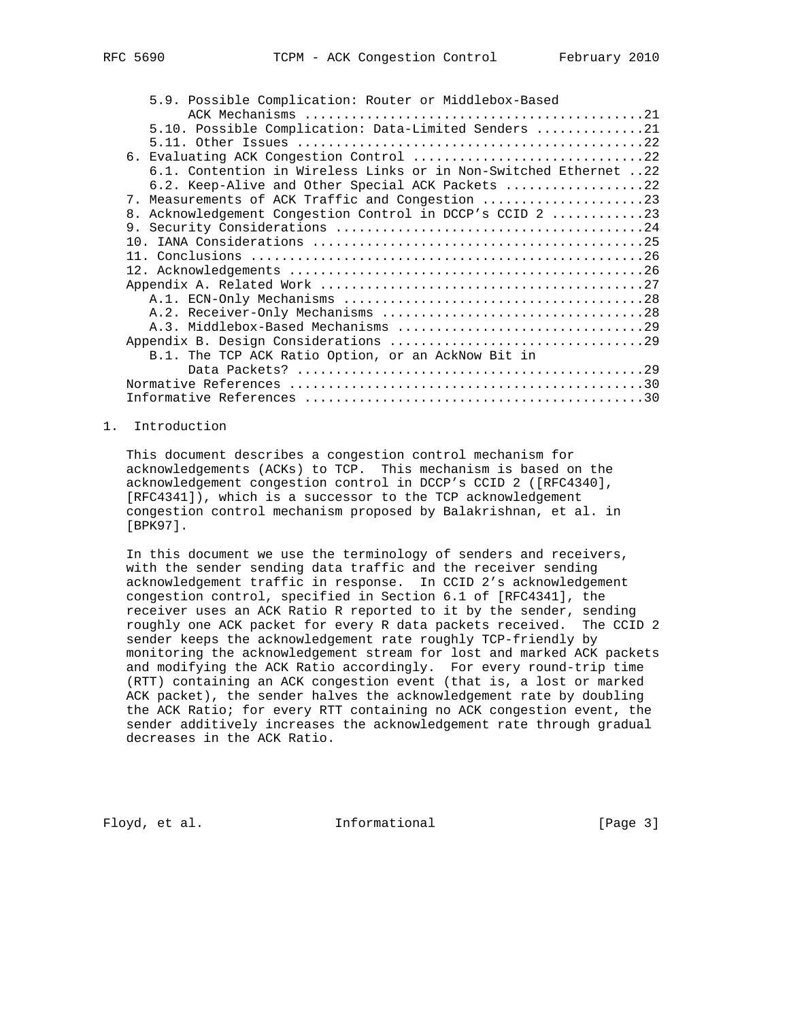| 5.9. Possible Complication: Router or Middlebox-Based            |  |
|------------------------------------------------------------------|--|
|                                                                  |  |
| 5.10. Possible Complication: Data-Limited Senders 21             |  |
|                                                                  |  |
| 6. Evaluating ACK Congestion Control 22                          |  |
| 6.1. Contention in Wireless Links or in Non-Switched Ethernet 22 |  |
| 6.2. Keep-Alive and Other Special ACK Packets 22                 |  |
| 7. Measurements of ACK Traffic and Congestion                    |  |
| 8. Acknowledgement Congestion Control in DCCP's CCID 2 23        |  |
|                                                                  |  |
|                                                                  |  |
|                                                                  |  |
|                                                                  |  |
|                                                                  |  |
|                                                                  |  |
|                                                                  |  |
|                                                                  |  |
|                                                                  |  |
| B.1. The TCP ACK Ratio Option, or an AckNow Bit in               |  |
|                                                                  |  |
|                                                                  |  |
|                                                                  |  |
|                                                                  |  |

## 1. Introduction

 This document describes a congestion control mechanism for acknowledgements (ACKs) to TCP. This mechanism is based on the acknowledgement congestion control in DCCP's CCID 2 ([RFC4340], [RFC4341]), which is a successor to the TCP acknowledgement congestion control mechanism proposed by Balakrishnan, et al. in [BPK97].

 In this document we use the terminology of senders and receivers, with the sender sending data traffic and the receiver sending acknowledgement traffic in response. In CCID 2's acknowledgement congestion control, specified in Section 6.1 of [RFC4341], the receiver uses an ACK Ratio R reported to it by the sender, sending roughly one ACK packet for every R data packets received. The CCID 2 sender keeps the acknowledgement rate roughly TCP-friendly by monitoring the acknowledgement stream for lost and marked ACK packets and modifying the ACK Ratio accordingly. For every round-trip time (RTT) containing an ACK congestion event (that is, a lost or marked ACK packet), the sender halves the acknowledgement rate by doubling the ACK Ratio; for every RTT containing no ACK congestion event, the sender additively increases the acknowledgement rate through gradual decreases in the ACK Ratio.

Floyd, et al. The Informational The Informational [Page 3]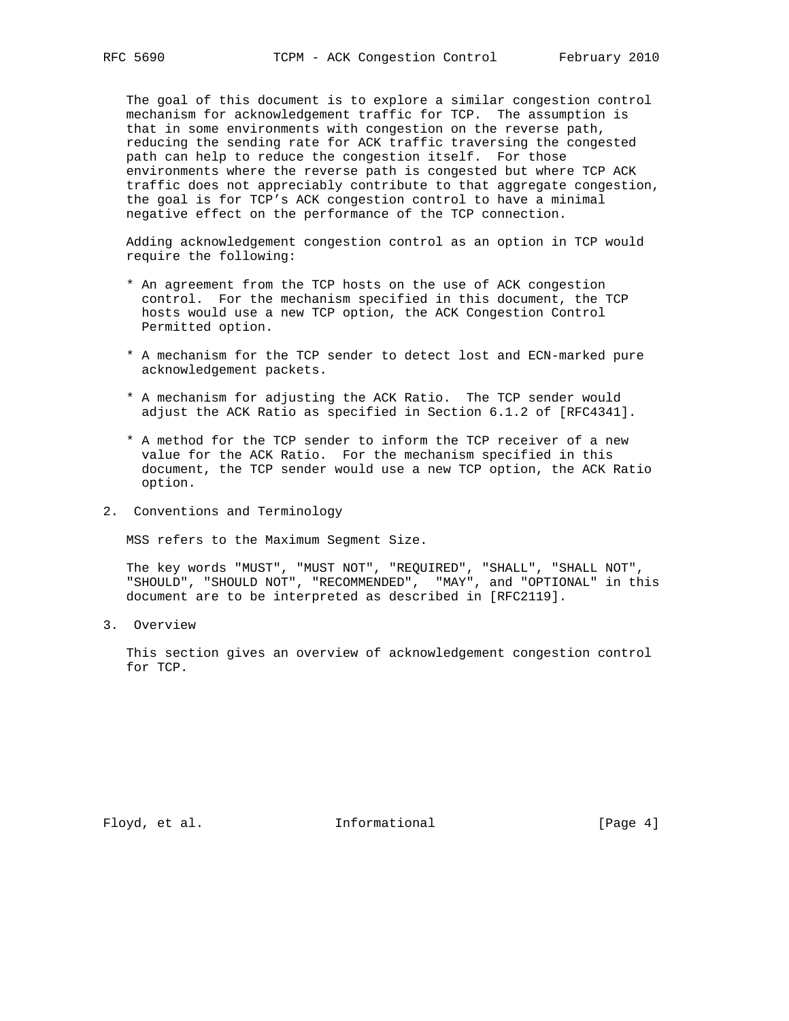The goal of this document is to explore a similar congestion control mechanism for acknowledgement traffic for TCP. The assumption is that in some environments with congestion on the reverse path, reducing the sending rate for ACK traffic traversing the congested path can help to reduce the congestion itself. For those environments where the reverse path is congested but where TCP ACK traffic does not appreciably contribute to that aggregate congestion, the goal is for TCP's ACK congestion control to have a minimal negative effect on the performance of the TCP connection.

 Adding acknowledgement congestion control as an option in TCP would require the following:

- \* An agreement from the TCP hosts on the use of ACK congestion control. For the mechanism specified in this document, the TCP hosts would use a new TCP option, the ACK Congestion Control Permitted option.
- \* A mechanism for the TCP sender to detect lost and ECN-marked pure acknowledgement packets.
- \* A mechanism for adjusting the ACK Ratio. The TCP sender would adjust the ACK Ratio as specified in Section 6.1.2 of [RFC4341].
- \* A method for the TCP sender to inform the TCP receiver of a new value for the ACK Ratio. For the mechanism specified in this document, the TCP sender would use a new TCP option, the ACK Ratio option.
- 2. Conventions and Terminology

MSS refers to the Maximum Segment Size.

 The key words "MUST", "MUST NOT", "REQUIRED", "SHALL", "SHALL NOT", "SHOULD", "SHOULD NOT", "RECOMMENDED", "MAY", and "OPTIONAL" in this document are to be interpreted as described in [RFC2119].

3. Overview

 This section gives an overview of acknowledgement congestion control for TCP.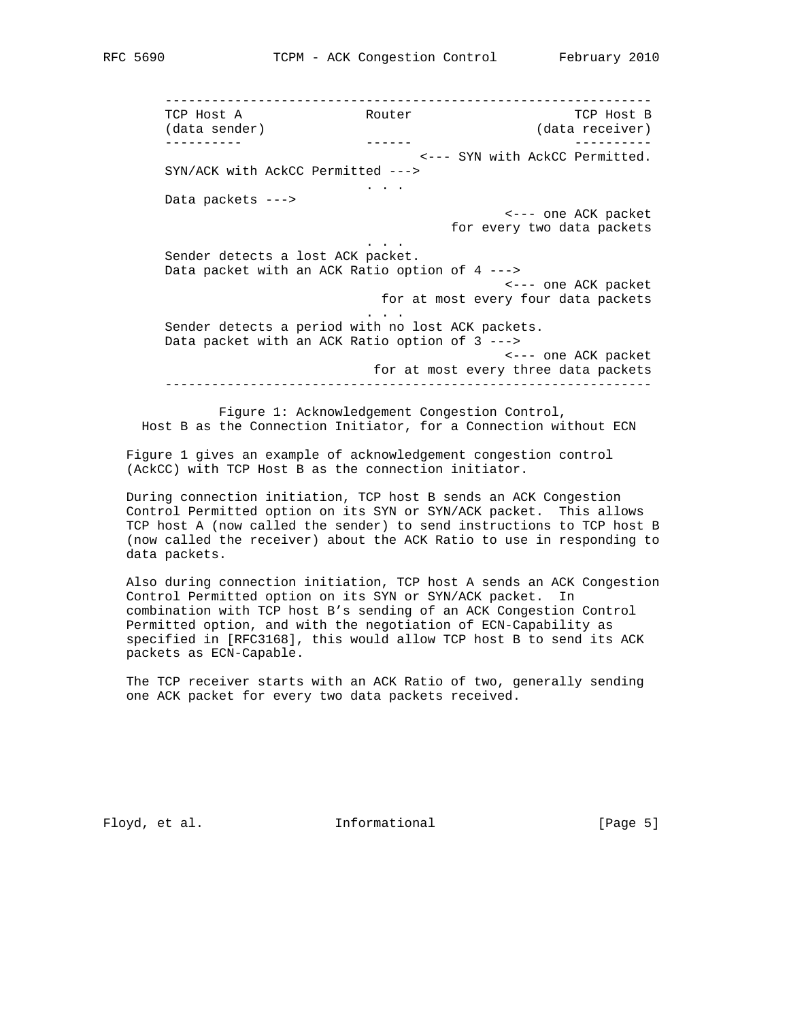--------------------------------------------------------------- TCP Host A **Router** Router TCP Host B (data receiver) ---------- ------ ---------- <--- SYN with AckCC Permitted. SYN/ACK with AckCC Permitted ---> . . . Data packets ---> <--- one ACK packet for every two data packets . . . Sender detects a lost ACK packet. Data packet with an ACK Ratio option of 4 ---> <--- one ACK packet for at most every four data packets . . . Sender detects a period with no lost ACK packets. Data packet with an ACK Ratio option of 3 ---> <--- one ACK packet for at most every three data packets ---------------------------------------------------------------

 Figure 1: Acknowledgement Congestion Control, Host B as the Connection Initiator, for a Connection without ECN

 Figure 1 gives an example of acknowledgement congestion control (AckCC) with TCP Host B as the connection initiator.

 During connection initiation, TCP host B sends an ACK Congestion Control Permitted option on its SYN or SYN/ACK packet. This allows TCP host A (now called the sender) to send instructions to TCP host B (now called the receiver) about the ACK Ratio to use in responding to data packets.

 Also during connection initiation, TCP host A sends an ACK Congestion Control Permitted option on its SYN or SYN/ACK packet. In combination with TCP host B's sending of an ACK Congestion Control Permitted option, and with the negotiation of ECN-Capability as specified in [RFC3168], this would allow TCP host B to send its ACK packets as ECN-Capable.

 The TCP receiver starts with an ACK Ratio of two, generally sending one ACK packet for every two data packets received.

Floyd, et al. The Informational The Informational [Page 5]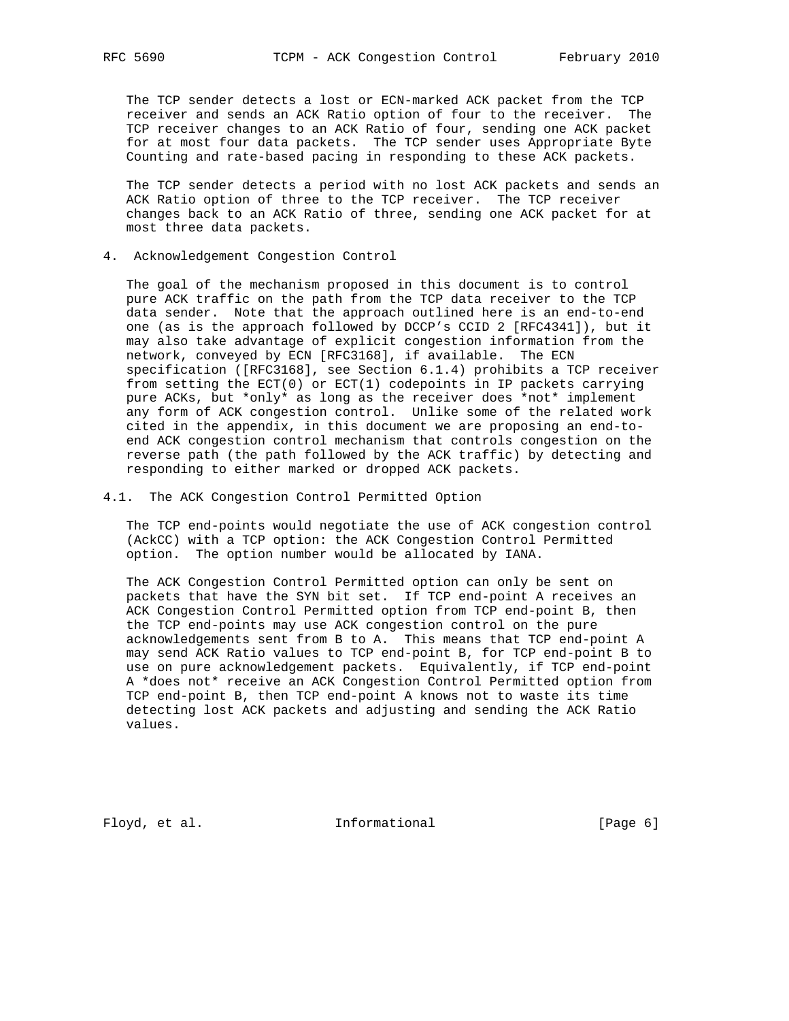The TCP sender detects a lost or ECN-marked ACK packet from the TCP receiver and sends an ACK Ratio option of four to the receiver. The TCP receiver changes to an ACK Ratio of four, sending one ACK packet for at most four data packets. The TCP sender uses Appropriate Byte Counting and rate-based pacing in responding to these ACK packets.

 The TCP sender detects a period with no lost ACK packets and sends an ACK Ratio option of three to the TCP receiver. The TCP receiver changes back to an ACK Ratio of three, sending one ACK packet for at most three data packets.

4. Acknowledgement Congestion Control

 The goal of the mechanism proposed in this document is to control pure ACK traffic on the path from the TCP data receiver to the TCP data sender. Note that the approach outlined here is an end-to-end one (as is the approach followed by DCCP's CCID 2 [RFC4341]), but it may also take advantage of explicit congestion information from the network, conveyed by ECN [RFC3168], if available. The ECN specification ([RFC3168], see Section 6.1.4) prohibits a TCP receiver from setting the ECT(0) or ECT(1) codepoints in IP packets carrying pure ACKs, but \*only\* as long as the receiver does \*not\* implement any form of ACK congestion control. Unlike some of the related work cited in the appendix, in this document we are proposing an end-to end ACK congestion control mechanism that controls congestion on the reverse path (the path followed by the ACK traffic) by detecting and responding to either marked or dropped ACK packets.

4.1. The ACK Congestion Control Permitted Option

 The TCP end-points would negotiate the use of ACK congestion control (AckCC) with a TCP option: the ACK Congestion Control Permitted option. The option number would be allocated by IANA.

 The ACK Congestion Control Permitted option can only be sent on packets that have the SYN bit set. If TCP end-point A receives an ACK Congestion Control Permitted option from TCP end-point B, then the TCP end-points may use ACK congestion control on the pure acknowledgements sent from B to A. This means that TCP end-point A may send ACK Ratio values to TCP end-point B, for TCP end-point B to use on pure acknowledgement packets. Equivalently, if TCP end-point A \*does not\* receive an ACK Congestion Control Permitted option from TCP end-point B, then TCP end-point A knows not to waste its time detecting lost ACK packets and adjusting and sending the ACK Ratio values.

Floyd, et al. 100 Informational 100 [Page 6]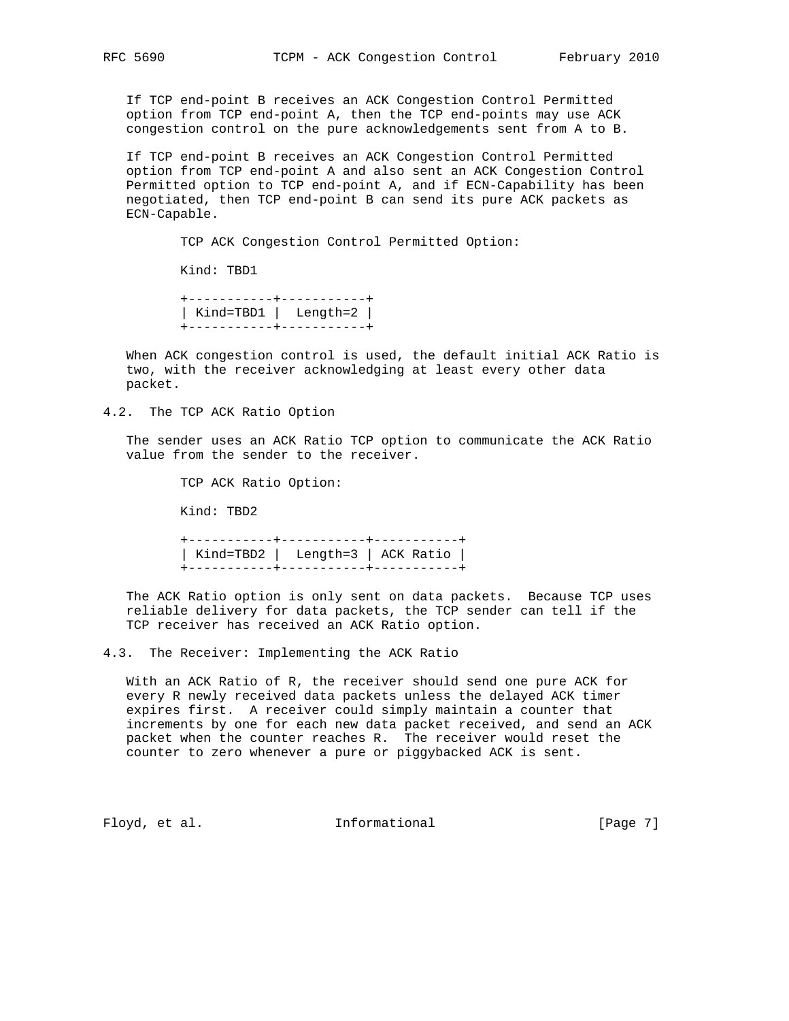If TCP end-point B receives an ACK Congestion Control Permitted option from TCP end-point A, then the TCP end-points may use ACK congestion control on the pure acknowledgements sent from A to B.

 If TCP end-point B receives an ACK Congestion Control Permitted option from TCP end-point A and also sent an ACK Congestion Control Permitted option to TCP end-point A, and if ECN-Capability has been negotiated, then TCP end-point B can send its pure ACK packets as ECN-Capable.

TCP ACK Congestion Control Permitted Option:

Kind: TBD1

 +-----------+-----------+ | Kind=TBD1 | Length=2 | +-----------+-----------+

 When ACK congestion control is used, the default initial ACK Ratio is two, with the receiver acknowledging at least every other data packet.

4.2. The TCP ACK Ratio Option

 The sender uses an ACK Ratio TCP option to communicate the ACK Ratio value from the sender to the receiver.

TCP ACK Ratio Option:

Kind: TBD2

 +-----------+-----------+-----------+ | Kind=TBD2 | Length=3 | ACK Ratio | +-----------+-----------+-----------+

 The ACK Ratio option is only sent on data packets. Because TCP uses reliable delivery for data packets, the TCP sender can tell if the TCP receiver has received an ACK Ratio option.

4.3. The Receiver: Implementing the ACK Ratio

 With an ACK Ratio of R, the receiver should send one pure ACK for every R newly received data packets unless the delayed ACK timer expires first. A receiver could simply maintain a counter that increments by one for each new data packet received, and send an ACK packet when the counter reaches R. The receiver would reset the counter to zero whenever a pure or piggybacked ACK is sent.

Floyd, et al. The Informational The Informational [Page 7]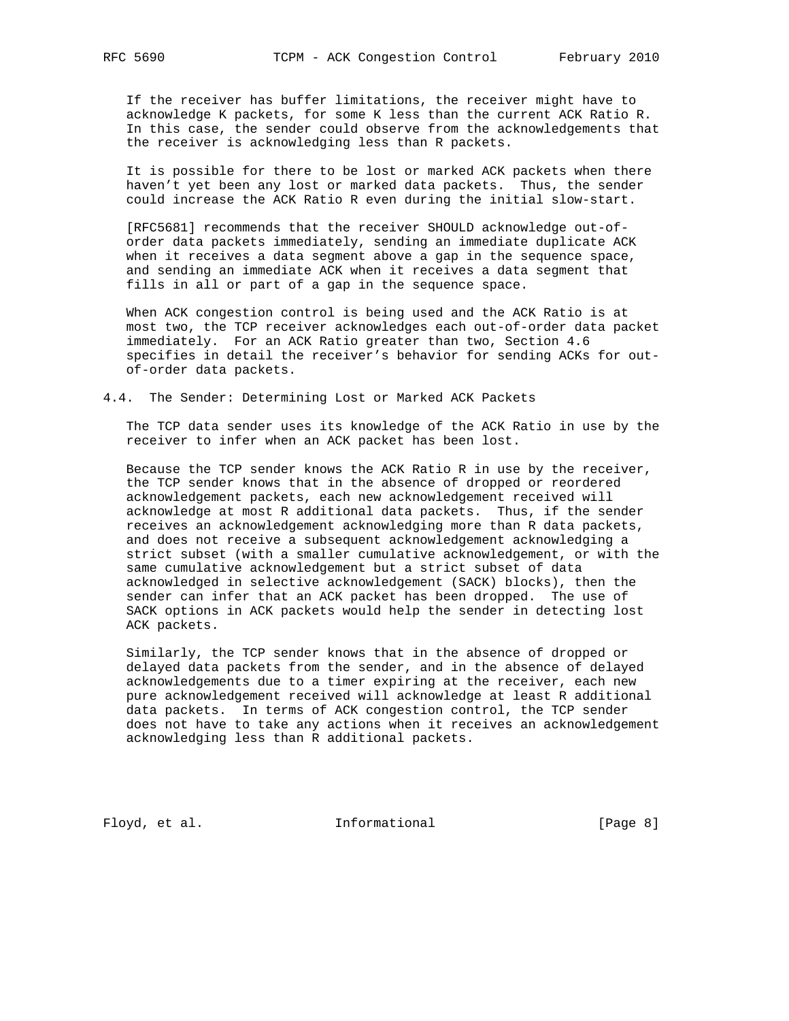If the receiver has buffer limitations, the receiver might have to acknowledge K packets, for some K less than the current ACK Ratio R. In this case, the sender could observe from the acknowledgements that the receiver is acknowledging less than R packets.

 It is possible for there to be lost or marked ACK packets when there haven't yet been any lost or marked data packets. Thus, the sender could increase the ACK Ratio R even during the initial slow-start.

 [RFC5681] recommends that the receiver SHOULD acknowledge out-of order data packets immediately, sending an immediate duplicate ACK when it receives a data segment above a gap in the sequence space, and sending an immediate ACK when it receives a data segment that fills in all or part of a gap in the sequence space.

 When ACK congestion control is being used and the ACK Ratio is at most two, the TCP receiver acknowledges each out-of-order data packet immediately. For an ACK Ratio greater than two, Section 4.6 specifies in detail the receiver's behavior for sending ACKs for out of-order data packets.

## 4.4. The Sender: Determining Lost or Marked ACK Packets

 The TCP data sender uses its knowledge of the ACK Ratio in use by the receiver to infer when an ACK packet has been lost.

 Because the TCP sender knows the ACK Ratio R in use by the receiver, the TCP sender knows that in the absence of dropped or reordered acknowledgement packets, each new acknowledgement received will acknowledge at most R additional data packets. Thus, if the sender receives an acknowledgement acknowledging more than R data packets, and does not receive a subsequent acknowledgement acknowledging a strict subset (with a smaller cumulative acknowledgement, or with the same cumulative acknowledgement but a strict subset of data acknowledged in selective acknowledgement (SACK) blocks), then the sender can infer that an ACK packet has been dropped. The use of SACK options in ACK packets would help the sender in detecting lost ACK packets.

 Similarly, the TCP sender knows that in the absence of dropped or delayed data packets from the sender, and in the absence of delayed acknowledgements due to a timer expiring at the receiver, each new pure acknowledgement received will acknowledge at least R additional data packets. In terms of ACK congestion control, the TCP sender does not have to take any actions when it receives an acknowledgement acknowledging less than R additional packets.

Floyd, et al. 1nformational [Page 8]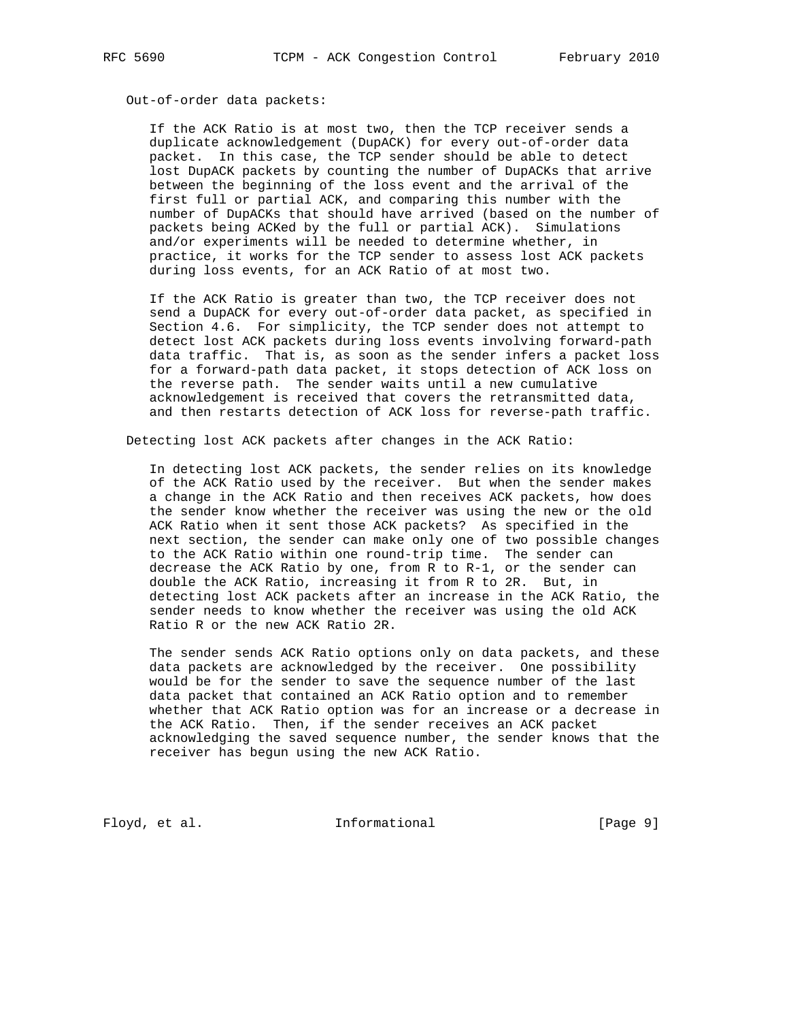#### Out-of-order data packets:

 If the ACK Ratio is at most two, then the TCP receiver sends a duplicate acknowledgement (DupACK) for every out-of-order data packet. In this case, the TCP sender should be able to detect lost DupACK packets by counting the number of DupACKs that arrive between the beginning of the loss event and the arrival of the first full or partial ACK, and comparing this number with the number of DupACKs that should have arrived (based on the number of packets being ACKed by the full or partial ACK). Simulations and/or experiments will be needed to determine whether, in practice, it works for the TCP sender to assess lost ACK packets during loss events, for an ACK Ratio of at most two.

 If the ACK Ratio is greater than two, the TCP receiver does not send a DupACK for every out-of-order data packet, as specified in Section 4.6. For simplicity, the TCP sender does not attempt to detect lost ACK packets during loss events involving forward-path data traffic. That is, as soon as the sender infers a packet loss for a forward-path data packet, it stops detection of ACK loss on the reverse path. The sender waits until a new cumulative acknowledgement is received that covers the retransmitted data, and then restarts detection of ACK loss for reverse-path traffic.

Detecting lost ACK packets after changes in the ACK Ratio:

 In detecting lost ACK packets, the sender relies on its knowledge of the ACK Ratio used by the receiver. But when the sender makes a change in the ACK Ratio and then receives ACK packets, how does the sender know whether the receiver was using the new or the old ACK Ratio when it sent those ACK packets? As specified in the next section, the sender can make only one of two possible changes to the ACK Ratio within one round-trip time. The sender can decrease the ACK Ratio by one, from R to R-1, or the sender can double the ACK Ratio, increasing it from R to 2R. But, in detecting lost ACK packets after an increase in the ACK Ratio, the sender needs to know whether the receiver was using the old ACK Ratio R or the new ACK Ratio 2R.

 The sender sends ACK Ratio options only on data packets, and these data packets are acknowledged by the receiver. One possibility would be for the sender to save the sequence number of the last data packet that contained an ACK Ratio option and to remember whether that ACK Ratio option was for an increase or a decrease in the ACK Ratio. Then, if the sender receives an ACK packet acknowledging the saved sequence number, the sender knows that the receiver has begun using the new ACK Ratio.

Floyd, et al. 1nformational [Page 9]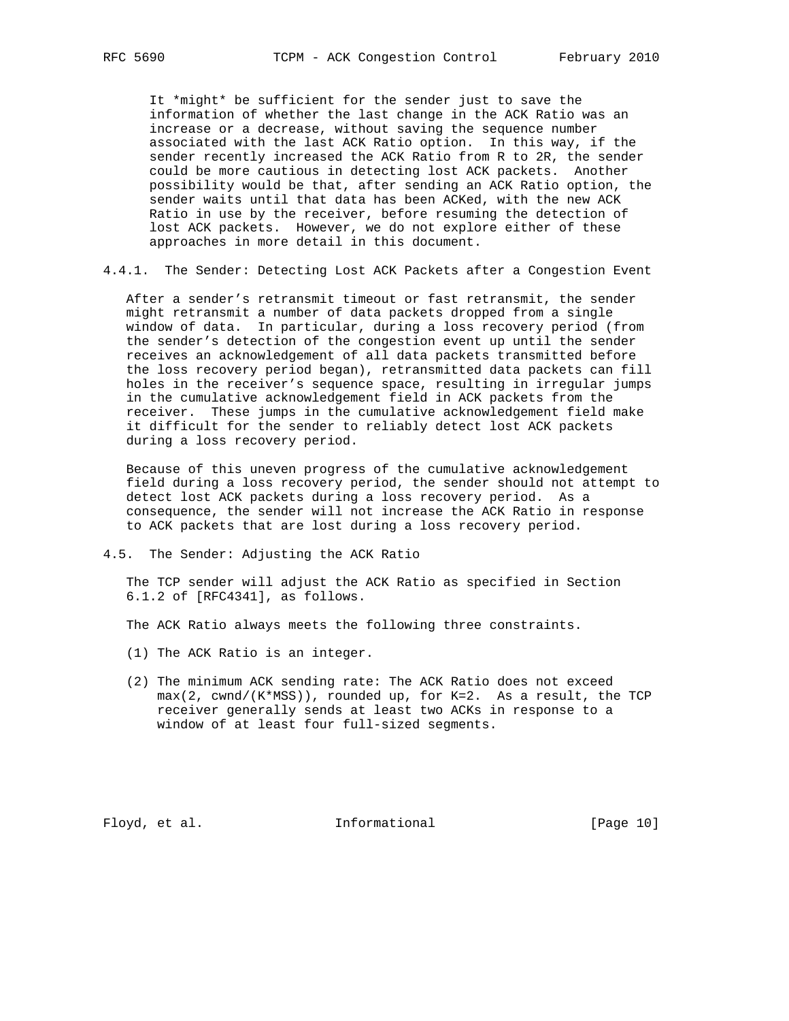It \*might\* be sufficient for the sender just to save the information of whether the last change in the ACK Ratio was an increase or a decrease, without saving the sequence number associated with the last ACK Ratio option. In this way, if the sender recently increased the ACK Ratio from R to 2R, the sender could be more cautious in detecting lost ACK packets. Another possibility would be that, after sending an ACK Ratio option, the sender waits until that data has been ACKed, with the new ACK Ratio in use by the receiver, before resuming the detection of lost ACK packets. However, we do not explore either of these approaches in more detail in this document.

4.4.1. The Sender: Detecting Lost ACK Packets after a Congestion Event

 After a sender's retransmit timeout or fast retransmit, the sender might retransmit a number of data packets dropped from a single window of data. In particular, during a loss recovery period (from the sender's detection of the congestion event up until the sender receives an acknowledgement of all data packets transmitted before the loss recovery period began), retransmitted data packets can fill holes in the receiver's sequence space, resulting in irregular jumps in the cumulative acknowledgement field in ACK packets from the receiver. These jumps in the cumulative acknowledgement field make it difficult for the sender to reliably detect lost ACK packets during a loss recovery period.

 Because of this uneven progress of the cumulative acknowledgement field during a loss recovery period, the sender should not attempt to detect lost ACK packets during a loss recovery period. As a consequence, the sender will not increase the ACK Ratio in response to ACK packets that are lost during a loss recovery period.

4.5. The Sender: Adjusting the ACK Ratio

 The TCP sender will adjust the ACK Ratio as specified in Section 6.1.2 of [RFC4341], as follows.

The ACK Ratio always meets the following three constraints.

- (1) The ACK Ratio is an integer.
- (2) The minimum ACK sending rate: The ACK Ratio does not exceed max(2, cwnd/(K\*MSS)), rounded up, for K=2. As a result, the TCP receiver generally sends at least two ACKs in response to a window of at least four full-sized segments.

Floyd, et al. 10 Informational [Page 10]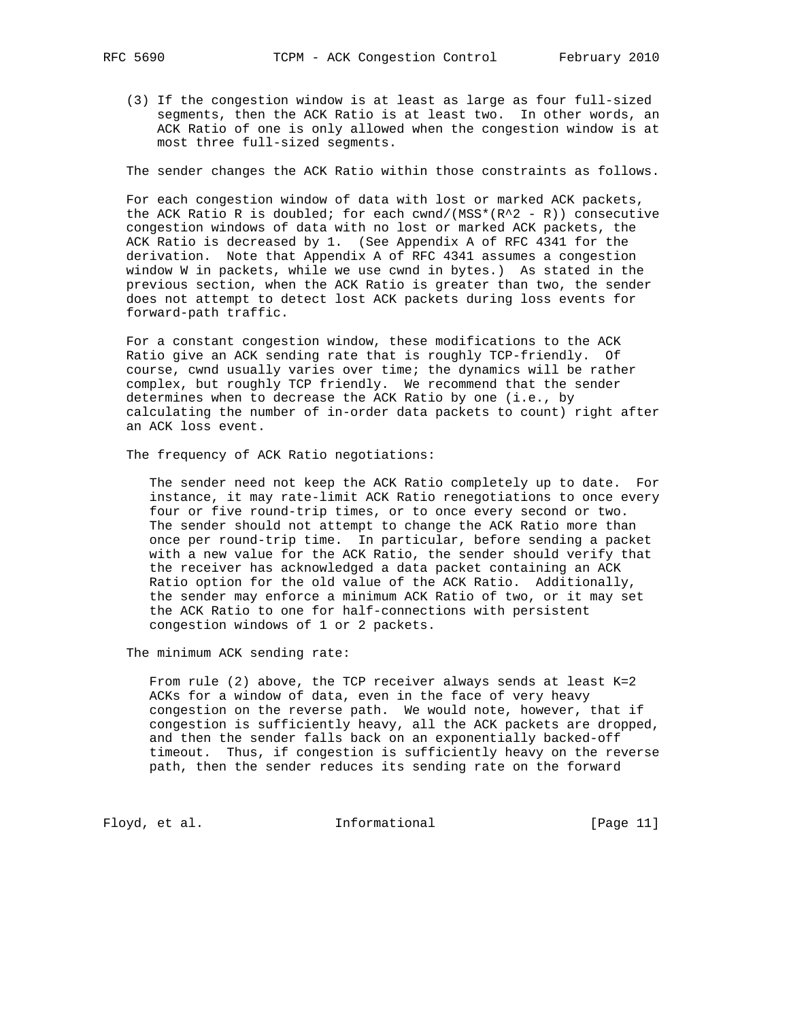(3) If the congestion window is at least as large as four full-sized segments, then the ACK Ratio is at least two. In other words, an ACK Ratio of one is only allowed when the congestion window is at most three full-sized segments.

The sender changes the ACK Ratio within those constraints as follows.

 For each congestion window of data with lost or marked ACK packets, the ACK Ratio R is doubled; for each cwnd/(MSS\*( $R^2 - R$ )) consecutive congestion windows of data with no lost or marked ACK packets, the ACK Ratio is decreased by 1. (See Appendix A of RFC 4341 for the derivation. Note that Appendix A of RFC 4341 assumes a congestion window W in packets, while we use cwnd in bytes.) As stated in the previous section, when the ACK Ratio is greater than two, the sender does not attempt to detect lost ACK packets during loss events for forward-path traffic.

 For a constant congestion window, these modifications to the ACK Ratio give an ACK sending rate that is roughly TCP-friendly. Of course, cwnd usually varies over time; the dynamics will be rather complex, but roughly TCP friendly. We recommend that the sender determines when to decrease the ACK Ratio by one (i.e., by calculating the number of in-order data packets to count) right after an ACK loss event.

The frequency of ACK Ratio negotiations:

 The sender need not keep the ACK Ratio completely up to date. For instance, it may rate-limit ACK Ratio renegotiations to once every four or five round-trip times, or to once every second or two. The sender should not attempt to change the ACK Ratio more than once per round-trip time. In particular, before sending a packet with a new value for the ACK Ratio, the sender should verify that the receiver has acknowledged a data packet containing an ACK Ratio option for the old value of the ACK Ratio. Additionally, the sender may enforce a minimum ACK Ratio of two, or it may set the ACK Ratio to one for half-connections with persistent congestion windows of 1 or 2 packets.

The minimum ACK sending rate:

From rule (2) above, the TCP receiver always sends at least  $K=2$  ACKs for a window of data, even in the face of very heavy congestion on the reverse path. We would note, however, that if congestion is sufficiently heavy, all the ACK packets are dropped, and then the sender falls back on an exponentially backed-off timeout. Thus, if congestion is sufficiently heavy on the reverse path, then the sender reduces its sending rate on the forward

Floyd, et al. 100 Informational [Page 11]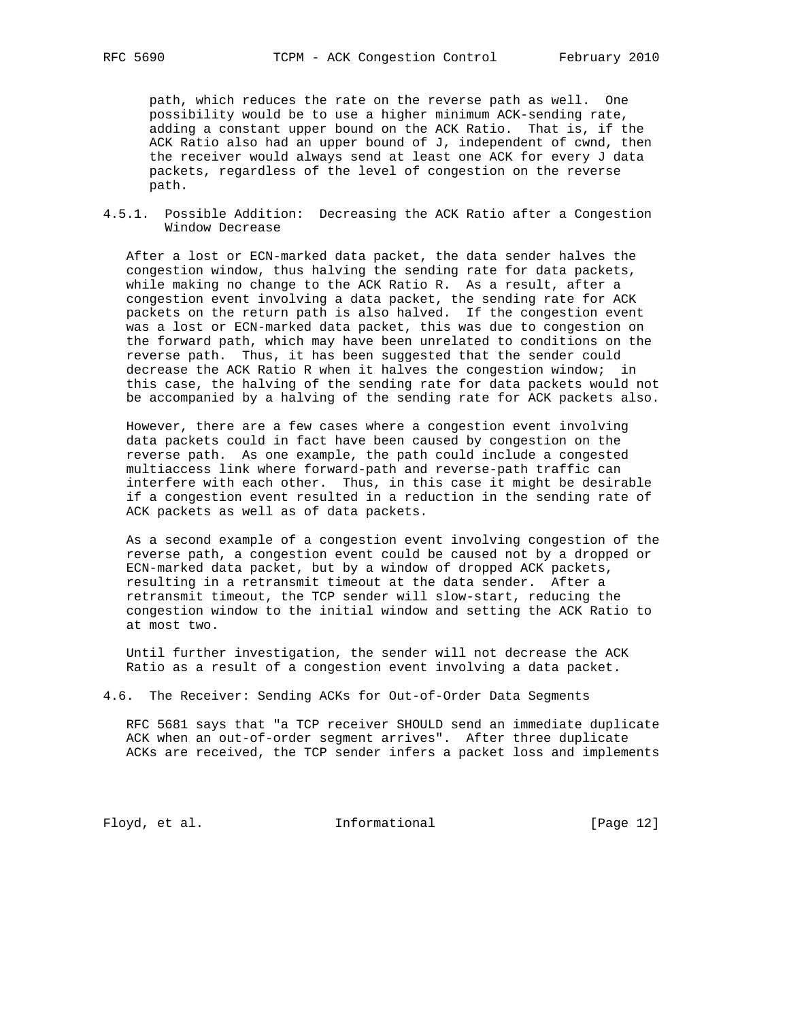path, which reduces the rate on the reverse path as well. One possibility would be to use a higher minimum ACK-sending rate, adding a constant upper bound on the ACK Ratio. That is, if the ACK Ratio also had an upper bound of J, independent of cwnd, then the receiver would always send at least one ACK for every J data packets, regardless of the level of congestion on the reverse path.

### 4.5.1. Possible Addition: Decreasing the ACK Ratio after a Congestion Window Decrease

 After a lost or ECN-marked data packet, the data sender halves the congestion window, thus halving the sending rate for data packets, while making no change to the ACK Ratio R. As a result, after a congestion event involving a data packet, the sending rate for ACK packets on the return path is also halved. If the congestion event was a lost or ECN-marked data packet, this was due to congestion on the forward path, which may have been unrelated to conditions on the reverse path. Thus, it has been suggested that the sender could decrease the ACK Ratio R when it halves the congestion window; in this case, the halving of the sending rate for data packets would not be accompanied by a halving of the sending rate for ACK packets also.

 However, there are a few cases where a congestion event involving data packets could in fact have been caused by congestion on the reverse path. As one example, the path could include a congested multiaccess link where forward-path and reverse-path traffic can interfere with each other. Thus, in this case it might be desirable if a congestion event resulted in a reduction in the sending rate of ACK packets as well as of data packets.

 As a second example of a congestion event involving congestion of the reverse path, a congestion event could be caused not by a dropped or ECN-marked data packet, but by a window of dropped ACK packets, resulting in a retransmit timeout at the data sender. After a retransmit timeout, the TCP sender will slow-start, reducing the congestion window to the initial window and setting the ACK Ratio to at most two.

 Until further investigation, the sender will not decrease the ACK Ratio as a result of a congestion event involving a data packet.

4.6. The Receiver: Sending ACKs for Out-of-Order Data Segments

 RFC 5681 says that "a TCP receiver SHOULD send an immediate duplicate ACK when an out-of-order segment arrives". After three duplicate ACKs are received, the TCP sender infers a packet loss and implements

Floyd, et al. 1nformational [Page 12]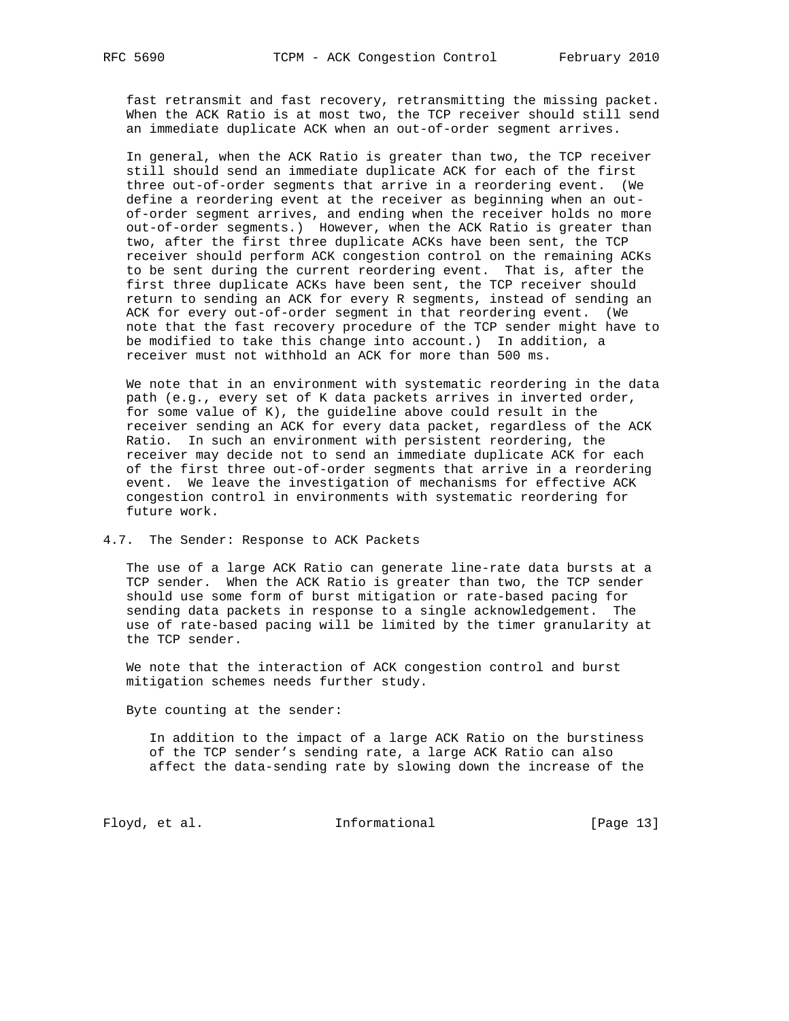fast retransmit and fast recovery, retransmitting the missing packet. When the ACK Ratio is at most two, the TCP receiver should still send an immediate duplicate ACK when an out-of-order segment arrives.

 In general, when the ACK Ratio is greater than two, the TCP receiver still should send an immediate duplicate ACK for each of the first three out-of-order segments that arrive in a reordering event. (We define a reordering event at the receiver as beginning when an out of-order segment arrives, and ending when the receiver holds no more out-of-order segments.) However, when the ACK Ratio is greater than two, after the first three duplicate ACKs have been sent, the TCP receiver should perform ACK congestion control on the remaining ACKs to be sent during the current reordering event. That is, after the first three duplicate ACKs have been sent, the TCP receiver should return to sending an ACK for every R segments, instead of sending an ACK for every out-of-order segment in that reordering event. (We note that the fast recovery procedure of the TCP sender might have to be modified to take this change into account.) In addition, a receiver must not withhold an ACK for more than 500 ms.

 We note that in an environment with systematic reordering in the data path (e.g., every set of K data packets arrives in inverted order, for some value of K), the guideline above could result in the receiver sending an ACK for every data packet, regardless of the ACK Ratio. In such an environment with persistent reordering, the receiver may decide not to send an immediate duplicate ACK for each of the first three out-of-order segments that arrive in a reordering event. We leave the investigation of mechanisms for effective ACK congestion control in environments with systematic reordering for future work.

4.7. The Sender: Response to ACK Packets

 The use of a large ACK Ratio can generate line-rate data bursts at a TCP sender. When the ACK Ratio is greater than two, the TCP sender should use some form of burst mitigation or rate-based pacing for sending data packets in response to a single acknowledgement. The use of rate-based pacing will be limited by the timer granularity at the TCP sender.

 We note that the interaction of ACK congestion control and burst mitigation schemes needs further study.

Byte counting at the sender:

 In addition to the impact of a large ACK Ratio on the burstiness of the TCP sender's sending rate, a large ACK Ratio can also affect the data-sending rate by slowing down the increase of the

Floyd, et al. 100 Informational [Page 13]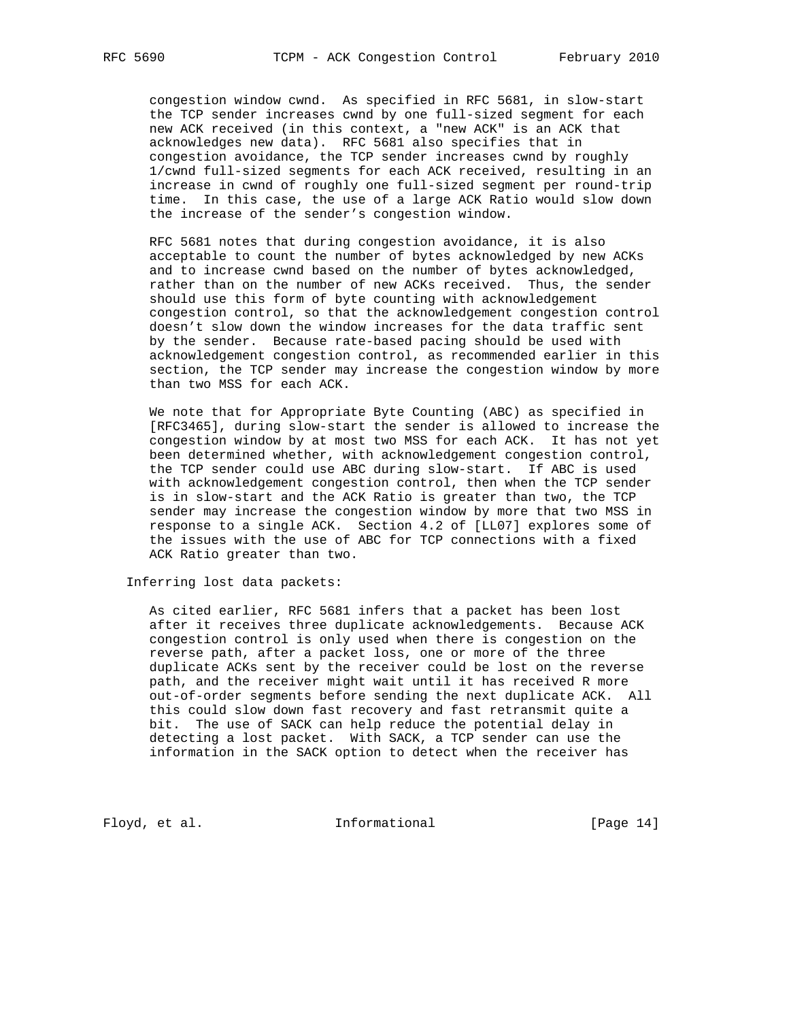congestion window cwnd. As specified in RFC 5681, in slow-start the TCP sender increases cwnd by one full-sized segment for each new ACK received (in this context, a "new ACK" is an ACK that acknowledges new data). RFC 5681 also specifies that in congestion avoidance, the TCP sender increases cwnd by roughly 1/cwnd full-sized segments for each ACK received, resulting in an increase in cwnd of roughly one full-sized segment per round-trip time. In this case, the use of a large ACK Ratio would slow down the increase of the sender's congestion window.

 RFC 5681 notes that during congestion avoidance, it is also acceptable to count the number of bytes acknowledged by new ACKs and to increase cwnd based on the number of bytes acknowledged, rather than on the number of new ACKs received. Thus, the sender should use this form of byte counting with acknowledgement congestion control, so that the acknowledgement congestion control doesn't slow down the window increases for the data traffic sent by the sender. Because rate-based pacing should be used with acknowledgement congestion control, as recommended earlier in this section, the TCP sender may increase the congestion window by more than two MSS for each ACK.

 We note that for Appropriate Byte Counting (ABC) as specified in [RFC3465], during slow-start the sender is allowed to increase the congestion window by at most two MSS for each ACK. It has not yet been determined whether, with acknowledgement congestion control, the TCP sender could use ABC during slow-start. If ABC is used with acknowledgement congestion control, then when the TCP sender is in slow-start and the ACK Ratio is greater than two, the TCP sender may increase the congestion window by more that two MSS in response to a single ACK. Section 4.2 of [LL07] explores some of the issues with the use of ABC for TCP connections with a fixed ACK Ratio greater than two.

Inferring lost data packets:

 As cited earlier, RFC 5681 infers that a packet has been lost after it receives three duplicate acknowledgements. Because ACK congestion control is only used when there is congestion on the reverse path, after a packet loss, one or more of the three duplicate ACKs sent by the receiver could be lost on the reverse path, and the receiver might wait until it has received R more out-of-order segments before sending the next duplicate ACK. All this could slow down fast recovery and fast retransmit quite a bit. The use of SACK can help reduce the potential delay in detecting a lost packet. With SACK, a TCP sender can use the information in the SACK option to detect when the receiver has

Floyd, et al. 100 Informational [Page 14]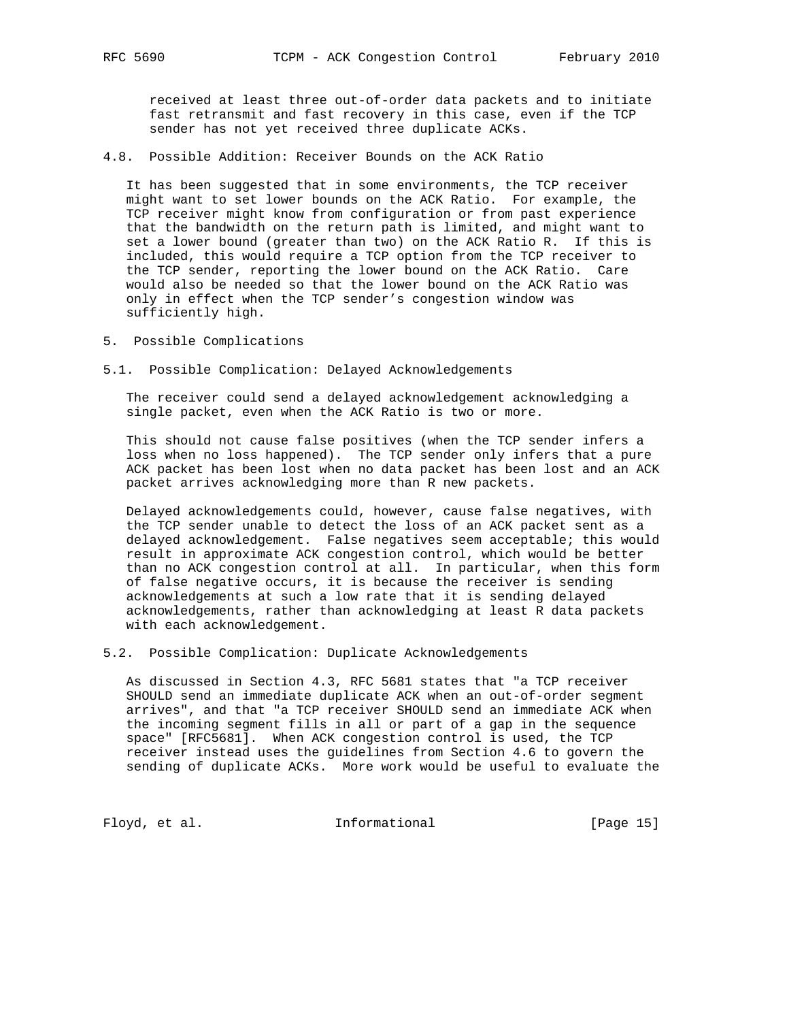received at least three out-of-order data packets and to initiate fast retransmit and fast recovery in this case, even if the TCP sender has not yet received three duplicate ACKs.

4.8. Possible Addition: Receiver Bounds on the ACK Ratio

 It has been suggested that in some environments, the TCP receiver might want to set lower bounds on the ACK Ratio. For example, the TCP receiver might know from configuration or from past experience that the bandwidth on the return path is limited, and might want to set a lower bound (greater than two) on the ACK Ratio R. If this is included, this would require a TCP option from the TCP receiver to the TCP sender, reporting the lower bound on the ACK Ratio. Care would also be needed so that the lower bound on the ACK Ratio was only in effect when the TCP sender's congestion window was sufficiently high.

- 5. Possible Complications
- 5.1. Possible Complication: Delayed Acknowledgements

 The receiver could send a delayed acknowledgement acknowledging a single packet, even when the ACK Ratio is two or more.

 This should not cause false positives (when the TCP sender infers a loss when no loss happened). The TCP sender only infers that a pure ACK packet has been lost when no data packet has been lost and an ACK packet arrives acknowledging more than R new packets.

 Delayed acknowledgements could, however, cause false negatives, with the TCP sender unable to detect the loss of an ACK packet sent as a delayed acknowledgement. False negatives seem acceptable; this would result in approximate ACK congestion control, which would be better than no ACK congestion control at all. In particular, when this form of false negative occurs, it is because the receiver is sending acknowledgements at such a low rate that it is sending delayed acknowledgements, rather than acknowledging at least R data packets with each acknowledgement.

5.2. Possible Complication: Duplicate Acknowledgements

 As discussed in Section 4.3, RFC 5681 states that "a TCP receiver SHOULD send an immediate duplicate ACK when an out-of-order segment arrives", and that "a TCP receiver SHOULD send an immediate ACK when the incoming segment fills in all or part of a gap in the sequence space" [RFC5681]. When ACK congestion control is used, the TCP receiver instead uses the guidelines from Section 4.6 to govern the sending of duplicate ACKs. More work would be useful to evaluate the

Floyd, et al. 100 Informational [Page 15]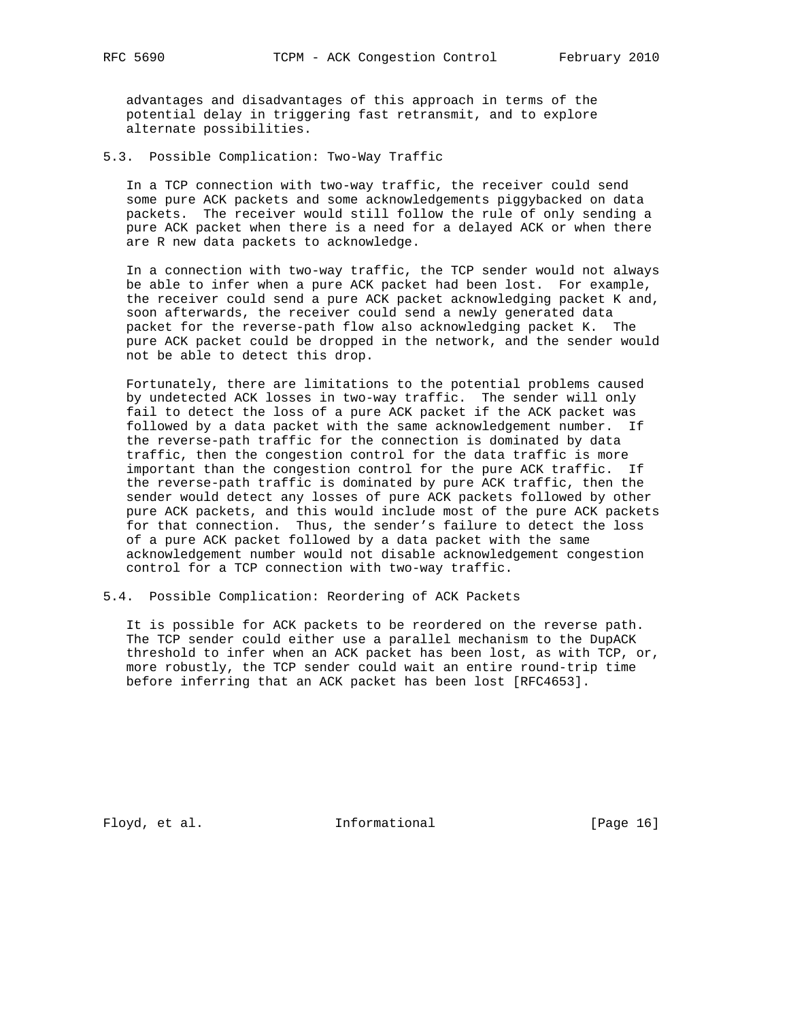advantages and disadvantages of this approach in terms of the potential delay in triggering fast retransmit, and to explore alternate possibilities.

5.3. Possible Complication: Two-Way Traffic

 In a TCP connection with two-way traffic, the receiver could send some pure ACK packets and some acknowledgements piggybacked on data packets. The receiver would still follow the rule of only sending a pure ACK packet when there is a need for a delayed ACK or when there are R new data packets to acknowledge.

 In a connection with two-way traffic, the TCP sender would not always be able to infer when a pure ACK packet had been lost. For example, the receiver could send a pure ACK packet acknowledging packet K and, soon afterwards, the receiver could send a newly generated data packet for the reverse-path flow also acknowledging packet K. The pure ACK packet could be dropped in the network, and the sender would not be able to detect this drop.

 Fortunately, there are limitations to the potential problems caused by undetected ACK losses in two-way traffic. The sender will only fail to detect the loss of a pure ACK packet if the ACK packet was followed by a data packet with the same acknowledgement number. If the reverse-path traffic for the connection is dominated by data traffic, then the congestion control for the data traffic is more important than the congestion control for the pure ACK traffic. If the reverse-path traffic is dominated by pure ACK traffic, then the sender would detect any losses of pure ACK packets followed by other pure ACK packets, and this would include most of the pure ACK packets for that connection. Thus, the sender's failure to detect the loss of a pure ACK packet followed by a data packet with the same acknowledgement number would not disable acknowledgement congestion control for a TCP connection with two-way traffic.

5.4. Possible Complication: Reordering of ACK Packets

 It is possible for ACK packets to be reordered on the reverse path. The TCP sender could either use a parallel mechanism to the DupACK threshold to infer when an ACK packet has been lost, as with TCP, or, more robustly, the TCP sender could wait an entire round-trip time before inferring that an ACK packet has been lost [RFC4653].

Floyd, et al. 10 Informational [Page 16]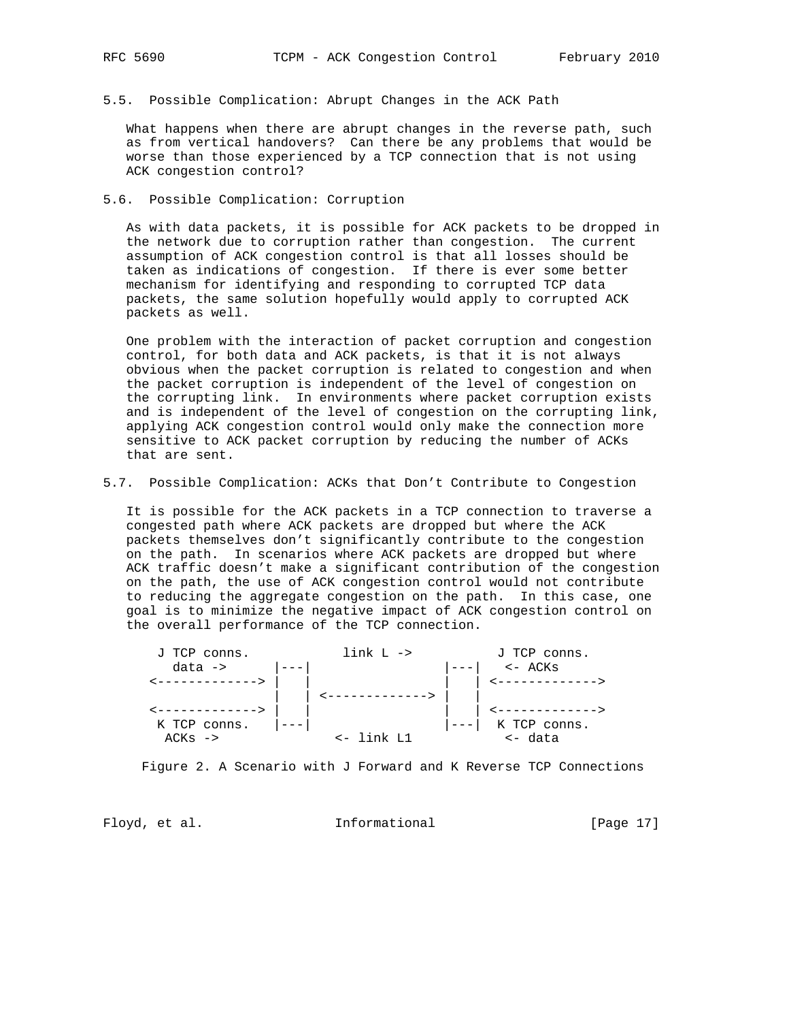5.5. Possible Complication: Abrupt Changes in the ACK Path

 What happens when there are abrupt changes in the reverse path, such as from vertical handovers? Can there be any problems that would be worse than those experienced by a TCP connection that is not using ACK congestion control?

5.6. Possible Complication: Corruption

 As with data packets, it is possible for ACK packets to be dropped in the network due to corruption rather than congestion. The current assumption of ACK congestion control is that all losses should be taken as indications of congestion. If there is ever some better mechanism for identifying and responding to corrupted TCP data packets, the same solution hopefully would apply to corrupted ACK packets as well.

 One problem with the interaction of packet corruption and congestion control, for both data and ACK packets, is that it is not always obvious when the packet corruption is related to congestion and when the packet corruption is independent of the level of congestion on the corrupting link. In environments where packet corruption exists and is independent of the level of congestion on the corrupting link, applying ACK congestion control would only make the connection more sensitive to ACK packet corruption by reducing the number of ACKs that are sent.

5.7. Possible Complication: ACKs that Don't Contribute to Congestion

 It is possible for the ACK packets in a TCP connection to traverse a congested path where ACK packets are dropped but where the ACK packets themselves don't significantly contribute to the congestion on the path. In scenarios where ACK packets are dropped but where ACK traffic doesn't make a significant contribution of the congestion on the path, the use of ACK congestion control would not contribute to reducing the aggregate congestion on the path. In this case, one goal is to minimize the negative impact of ACK congestion control on the overall performance of the TCP connection.

| J TCP conns.       | $link L \rightarrow$ | J TCP conns.      |
|--------------------|----------------------|-------------------|
| $data \rightarrow$ |                      | $\leftarrow$ ACKs |
|                    |                      |                   |
|                    |                      |                   |
|                    |                      |                   |
| K TCP conns.       |                      | K TCP conns.      |
| $ACKs$ ->          | $<-$ link $T1$       | <- data           |

Figure 2. A Scenario with J Forward and K Reverse TCP Connections

Floyd, et al. 100 Informational 100 [Page 17]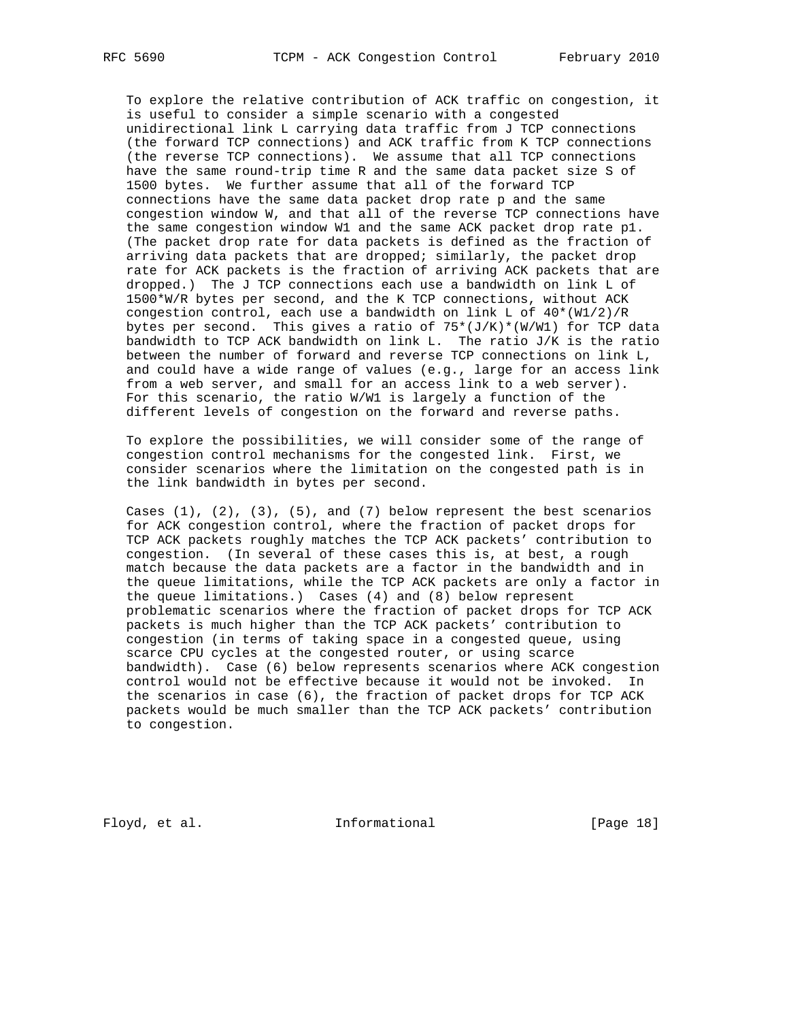To explore the relative contribution of ACK traffic on congestion, it is useful to consider a simple scenario with a congested unidirectional link L carrying data traffic from J TCP connections (the forward TCP connections) and ACK traffic from K TCP connections (the reverse TCP connections). We assume that all TCP connections have the same round-trip time R and the same data packet size S of 1500 bytes. We further assume that all of the forward TCP connections have the same data packet drop rate p and the same congestion window W, and that all of the reverse TCP connections have the same congestion window W1 and the same ACK packet drop rate p1. (The packet drop rate for data packets is defined as the fraction of arriving data packets that are dropped; similarly, the packet drop rate for ACK packets is the fraction of arriving ACK packets that are dropped.) The J TCP connections each use a bandwidth on link L of 1500\*W/R bytes per second, and the K TCP connections, without ACK congestion control, each use a bandwidth on link L of 40\*(W1/2)/R bytes per second. This gives a ratio of  $75*(J/K)*(W/W1)$  for TCP data bandwidth to TCP ACK bandwidth on link L. The ratio J/K is the ratio between the number of forward and reverse TCP connections on link L, and could have a wide range of values (e.g., large for an access link from a web server, and small for an access link to a web server). For this scenario, the ratio W/W1 is largely a function of the different levels of congestion on the forward and reverse paths.

 To explore the possibilities, we will consider some of the range of congestion control mechanisms for the congested link. First, we consider scenarios where the limitation on the congested path is in the link bandwidth in bytes per second.

Cases  $(1)$ ,  $(2)$ ,  $(3)$ ,  $(5)$ , and  $(7)$  below represent the best scenarios for ACK congestion control, where the fraction of packet drops for TCP ACK packets roughly matches the TCP ACK packets' contribution to congestion. (In several of these cases this is, at best, a rough match because the data packets are a factor in the bandwidth and in the queue limitations, while the TCP ACK packets are only a factor in the queue limitations.) Cases (4) and (8) below represent problematic scenarios where the fraction of packet drops for TCP ACK packets is much higher than the TCP ACK packets' contribution to congestion (in terms of taking space in a congested queue, using scarce CPU cycles at the congested router, or using scarce bandwidth). Case (6) below represents scenarios where ACK congestion control would not be effective because it would not be invoked. In the scenarios in case (6), the fraction of packet drops for TCP ACK packets would be much smaller than the TCP ACK packets' contribution to congestion.

Floyd, et al. 10 Informational [Page 18]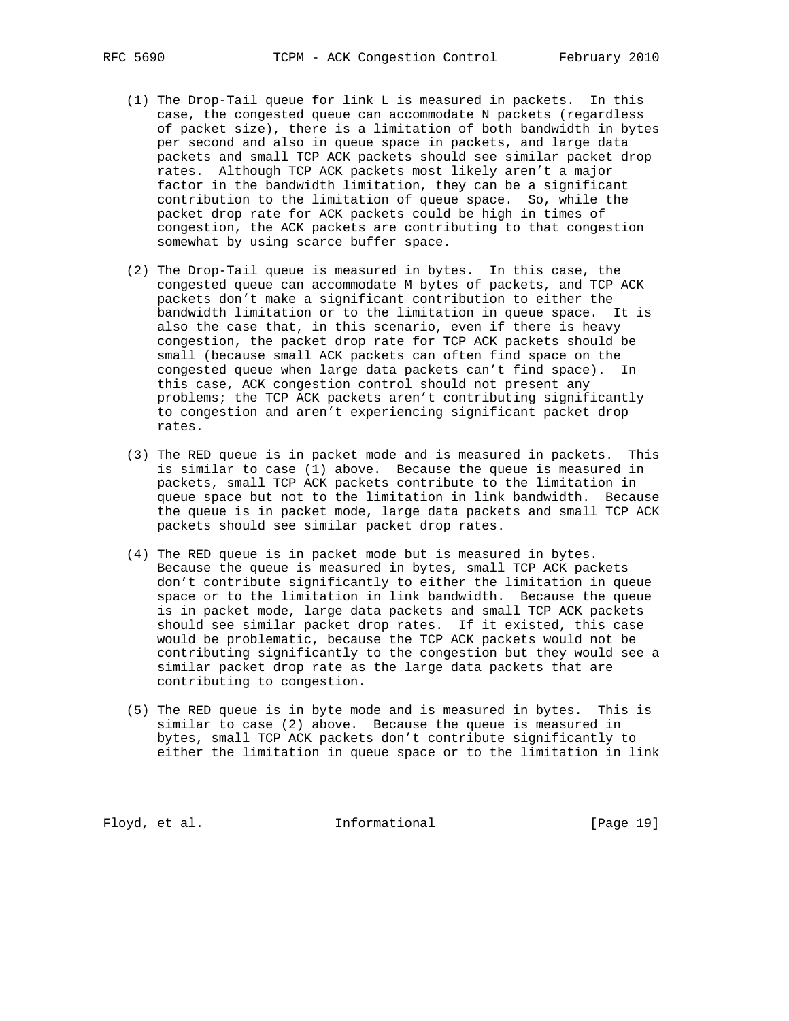- (1) The Drop-Tail queue for link L is measured in packets. In this case, the congested queue can accommodate N packets (regardless of packet size), there is a limitation of both bandwidth in bytes per second and also in queue space in packets, and large data packets and small TCP ACK packets should see similar packet drop rates. Although TCP ACK packets most likely aren't a major factor in the bandwidth limitation, they can be a significant contribution to the limitation of queue space. So, while the packet drop rate for ACK packets could be high in times of congestion, the ACK packets are contributing to that congestion somewhat by using scarce buffer space.
- (2) The Drop-Tail queue is measured in bytes. In this case, the congested queue can accommodate M bytes of packets, and TCP ACK packets don't make a significant contribution to either the bandwidth limitation or to the limitation in queue space. It is also the case that, in this scenario, even if there is heavy congestion, the packet drop rate for TCP ACK packets should be small (because small ACK packets can often find space on the congested queue when large data packets can't find space). In this case, ACK congestion control should not present any problems; the TCP ACK packets aren't contributing significantly to congestion and aren't experiencing significant packet drop rates.
- (3) The RED queue is in packet mode and is measured in packets. This is similar to case (1) above. Because the queue is measured in packets, small TCP ACK packets contribute to the limitation in queue space but not to the limitation in link bandwidth. Because the queue is in packet mode, large data packets and small TCP ACK packets should see similar packet drop rates.
- (4) The RED queue is in packet mode but is measured in bytes. Because the queue is measured in bytes, small TCP ACK packets don't contribute significantly to either the limitation in queue space or to the limitation in link bandwidth. Because the queue is in packet mode, large data packets and small TCP ACK packets should see similar packet drop rates. If it existed, this case would be problematic, because the TCP ACK packets would not be contributing significantly to the congestion but they would see a similar packet drop rate as the large data packets that are contributing to congestion.
- (5) The RED queue is in byte mode and is measured in bytes. This is similar to case (2) above. Because the queue is measured in bytes, small TCP ACK packets don't contribute significantly to either the limitation in queue space or to the limitation in link

Floyd, et al. 10 Informational [Page 19]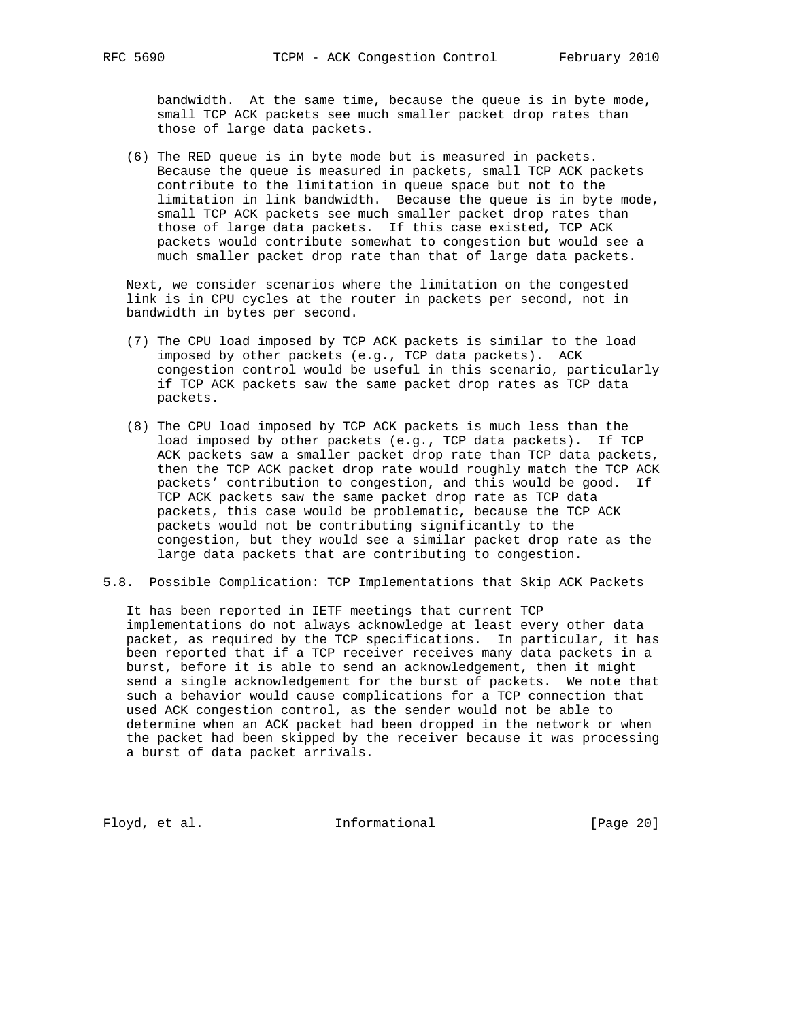bandwidth. At the same time, because the queue is in byte mode, small TCP ACK packets see much smaller packet drop rates than those of large data packets.

 (6) The RED queue is in byte mode but is measured in packets. Because the queue is measured in packets, small TCP ACK packets contribute to the limitation in queue space but not to the limitation in link bandwidth. Because the queue is in byte mode, small TCP ACK packets see much smaller packet drop rates than those of large data packets. If this case existed, TCP ACK packets would contribute somewhat to congestion but would see a much smaller packet drop rate than that of large data packets.

 Next, we consider scenarios where the limitation on the congested link is in CPU cycles at the router in packets per second, not in bandwidth in bytes per second.

- (7) The CPU load imposed by TCP ACK packets is similar to the load imposed by other packets (e.g., TCP data packets). ACK congestion control would be useful in this scenario, particularly if TCP ACK packets saw the same packet drop rates as TCP data packets.
- (8) The CPU load imposed by TCP ACK packets is much less than the load imposed by other packets (e.g., TCP data packets). If TCP ACK packets saw a smaller packet drop rate than TCP data packets, then the TCP ACK packet drop rate would roughly match the TCP ACK packets' contribution to congestion, and this would be good. If TCP ACK packets saw the same packet drop rate as TCP data packets, this case would be problematic, because the TCP ACK packets would not be contributing significantly to the congestion, but they would see a similar packet drop rate as the large data packets that are contributing to congestion.
- 5.8. Possible Complication: TCP Implementations that Skip ACK Packets

 It has been reported in IETF meetings that current TCP implementations do not always acknowledge at least every other data packet, as required by the TCP specifications. In particular, it has been reported that if a TCP receiver receives many data packets in a burst, before it is able to send an acknowledgement, then it might send a single acknowledgement for the burst of packets. We note that such a behavior would cause complications for a TCP connection that used ACK congestion control, as the sender would not be able to determine when an ACK packet had been dropped in the network or when the packet had been skipped by the receiver because it was processing a burst of data packet arrivals.

Floyd, et al. 1nformational [Page 20]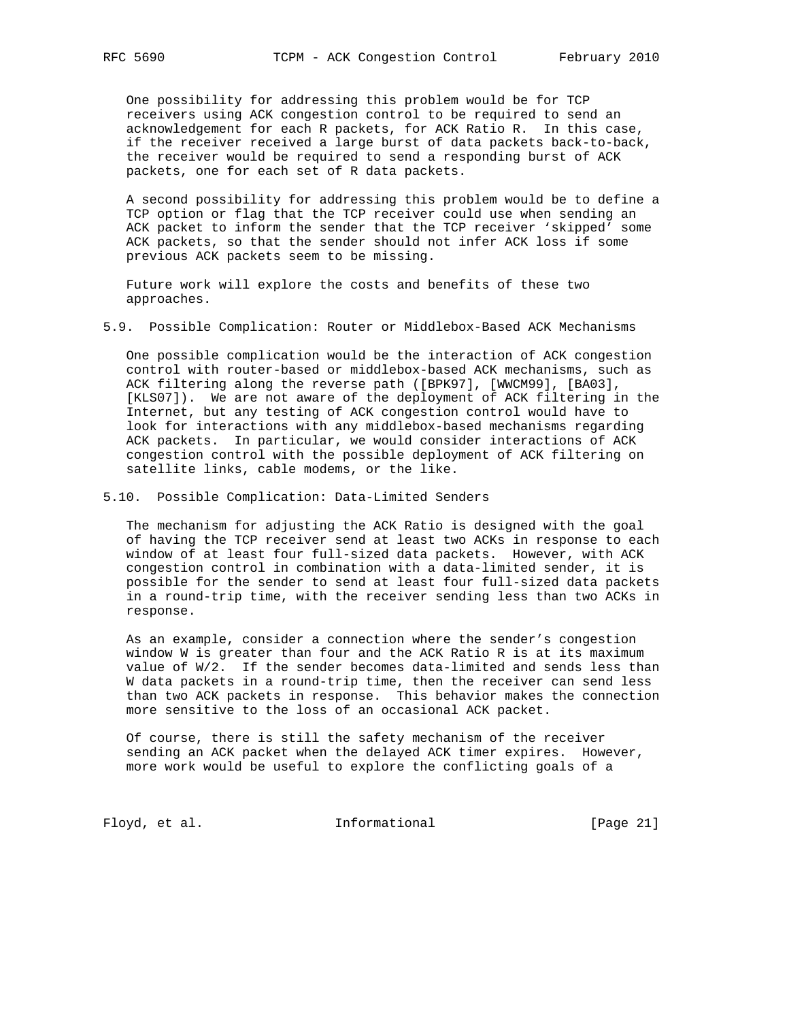One possibility for addressing this problem would be for TCP receivers using ACK congestion control to be required to send an acknowledgement for each R packets, for ACK Ratio R. In this case, if the receiver received a large burst of data packets back-to-back, the receiver would be required to send a responding burst of ACK packets, one for each set of R data packets.

 A second possibility for addressing this problem would be to define a TCP option or flag that the TCP receiver could use when sending an ACK packet to inform the sender that the TCP receiver 'skipped' some ACK packets, so that the sender should not infer ACK loss if some previous ACK packets seem to be missing.

 Future work will explore the costs and benefits of these two approaches.

5.9. Possible Complication: Router or Middlebox-Based ACK Mechanisms

 One possible complication would be the interaction of ACK congestion control with router-based or middlebox-based ACK mechanisms, such as ACK filtering along the reverse path ([BPK97], [WWCM99], [BA03], [KLS07]). We are not aware of the deployment of ACK filtering in the Internet, but any testing of ACK congestion control would have to look for interactions with any middlebox-based mechanisms regarding ACK packets. In particular, we would consider interactions of ACK congestion control with the possible deployment of ACK filtering on satellite links, cable modems, or the like.

5.10. Possible Complication: Data-Limited Senders

 The mechanism for adjusting the ACK Ratio is designed with the goal of having the TCP receiver send at least two ACKs in response to each window of at least four full-sized data packets. However, with ACK congestion control in combination with a data-limited sender, it is possible for the sender to send at least four full-sized data packets in a round-trip time, with the receiver sending less than two ACKs in response.

 As an example, consider a connection where the sender's congestion window W is greater than four and the ACK Ratio R is at its maximum value of W/2. If the sender becomes data-limited and sends less than W data packets in a round-trip time, then the receiver can send less than two ACK packets in response. This behavior makes the connection more sensitive to the loss of an occasional ACK packet.

 Of course, there is still the safety mechanism of the receiver sending an ACK packet when the delayed ACK timer expires. However, more work would be useful to explore the conflicting goals of a

Floyd, et al. 1nformational [Page 21]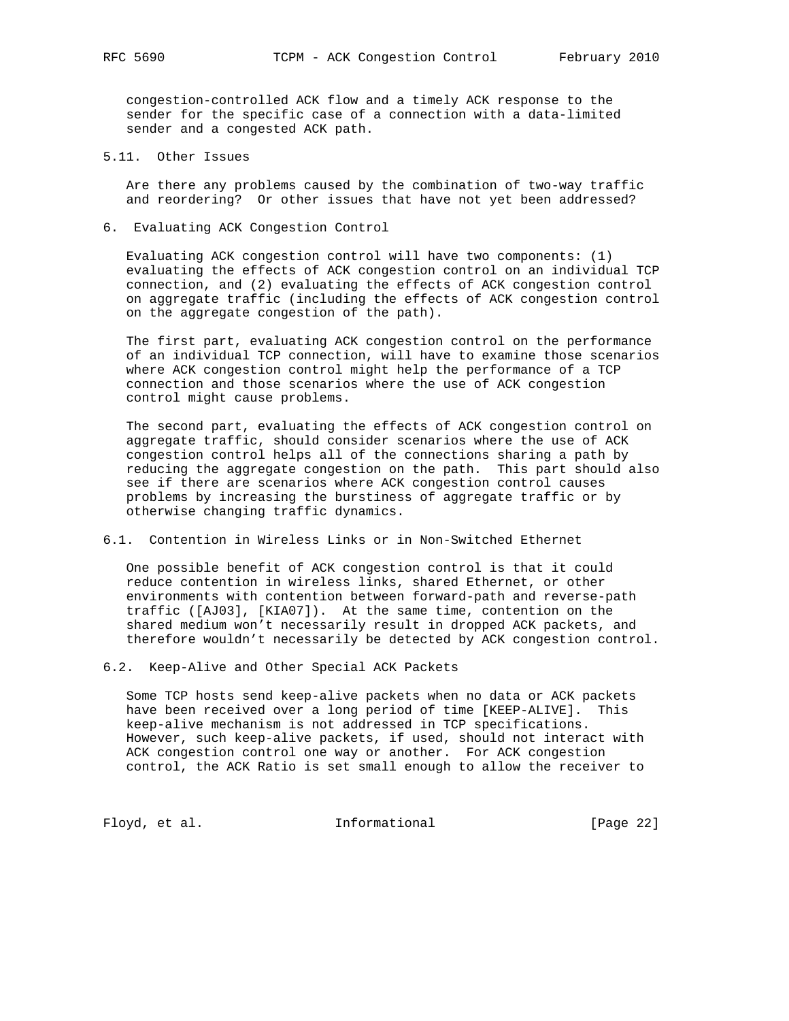congestion-controlled ACK flow and a timely ACK response to the sender for the specific case of a connection with a data-limited sender and a congested ACK path.

5.11. Other Issues

 Are there any problems caused by the combination of two-way traffic and reordering? Or other issues that have not yet been addressed?

6. Evaluating ACK Congestion Control

 Evaluating ACK congestion control will have two components: (1) evaluating the effects of ACK congestion control on an individual TCP connection, and (2) evaluating the effects of ACK congestion control on aggregate traffic (including the effects of ACK congestion control on the aggregate congestion of the path).

 The first part, evaluating ACK congestion control on the performance of an individual TCP connection, will have to examine those scenarios where ACK congestion control might help the performance of a TCP connection and those scenarios where the use of ACK congestion control might cause problems.

 The second part, evaluating the effects of ACK congestion control on aggregate traffic, should consider scenarios where the use of ACK congestion control helps all of the connections sharing a path by reducing the aggregate congestion on the path. This part should also see if there are scenarios where ACK congestion control causes problems by increasing the burstiness of aggregate traffic or by otherwise changing traffic dynamics.

6.1. Contention in Wireless Links or in Non-Switched Ethernet

 One possible benefit of ACK congestion control is that it could reduce contention in wireless links, shared Ethernet, or other environments with contention between forward-path and reverse-path traffic ([AJ03], [KIA07]). At the same time, contention on the shared medium won't necessarily result in dropped ACK packets, and therefore wouldn't necessarily be detected by ACK congestion control.

6.2. Keep-Alive and Other Special ACK Packets

 Some TCP hosts send keep-alive packets when no data or ACK packets have been received over a long period of time [KEEP-ALIVE]. This keep-alive mechanism is not addressed in TCP specifications. However, such keep-alive packets, if used, should not interact with ACK congestion control one way or another. For ACK congestion control, the ACK Ratio is set small enough to allow the receiver to

Floyd, et al. 1nformational [Page 22]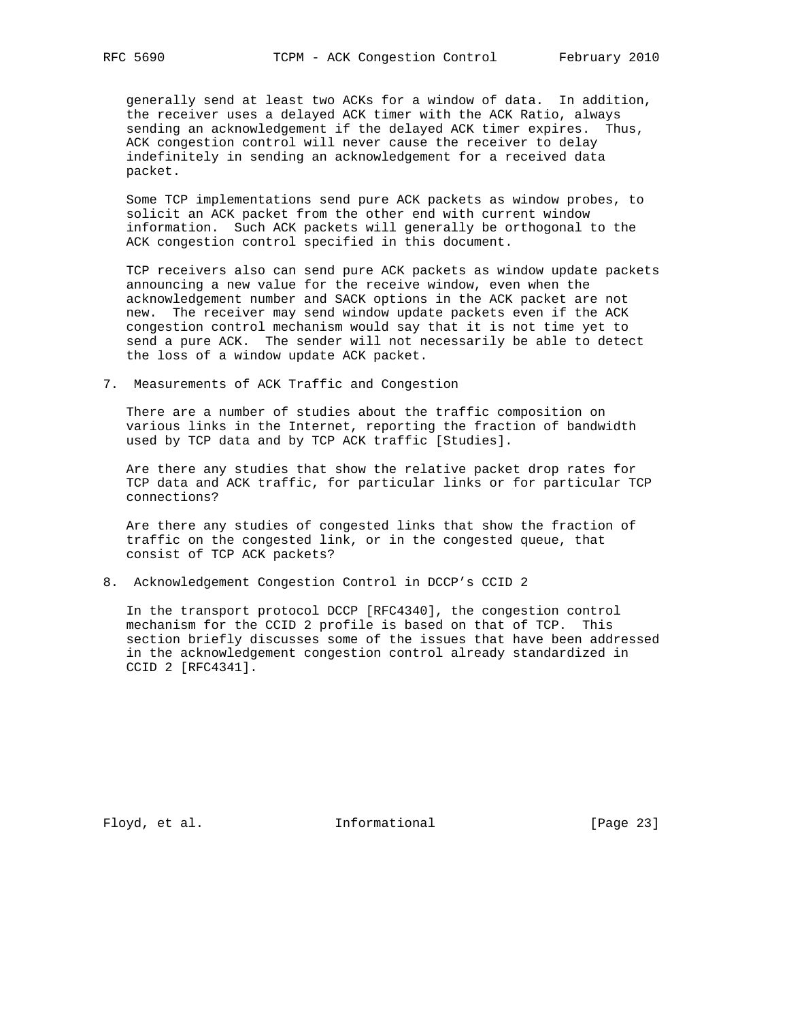generally send at least two ACKs for a window of data. In addition, the receiver uses a delayed ACK timer with the ACK Ratio, always sending an acknowledgement if the delayed ACK timer expires. Thus, ACK congestion control will never cause the receiver to delay indefinitely in sending an acknowledgement for a received data packet.

 Some TCP implementations send pure ACK packets as window probes, to solicit an ACK packet from the other end with current window information. Such ACK packets will generally be orthogonal to the ACK congestion control specified in this document.

 TCP receivers also can send pure ACK packets as window update packets announcing a new value for the receive window, even when the acknowledgement number and SACK options in the ACK packet are not new. The receiver may send window update packets even if the ACK congestion control mechanism would say that it is not time yet to send a pure ACK. The sender will not necessarily be able to detect the loss of a window update ACK packet.

7. Measurements of ACK Traffic and Congestion

 There are a number of studies about the traffic composition on various links in the Internet, reporting the fraction of bandwidth used by TCP data and by TCP ACK traffic [Studies].

 Are there any studies that show the relative packet drop rates for TCP data and ACK traffic, for particular links or for particular TCP connections?

 Are there any studies of congested links that show the fraction of traffic on the congested link, or in the congested queue, that consist of TCP ACK packets?

8. Acknowledgement Congestion Control in DCCP's CCID 2

 In the transport protocol DCCP [RFC4340], the congestion control mechanism for the CCID 2 profile is based on that of TCP. This section briefly discusses some of the issues that have been addressed in the acknowledgement congestion control already standardized in CCID 2 [RFC4341].

Floyd, et al. 100 Informational [Page 23]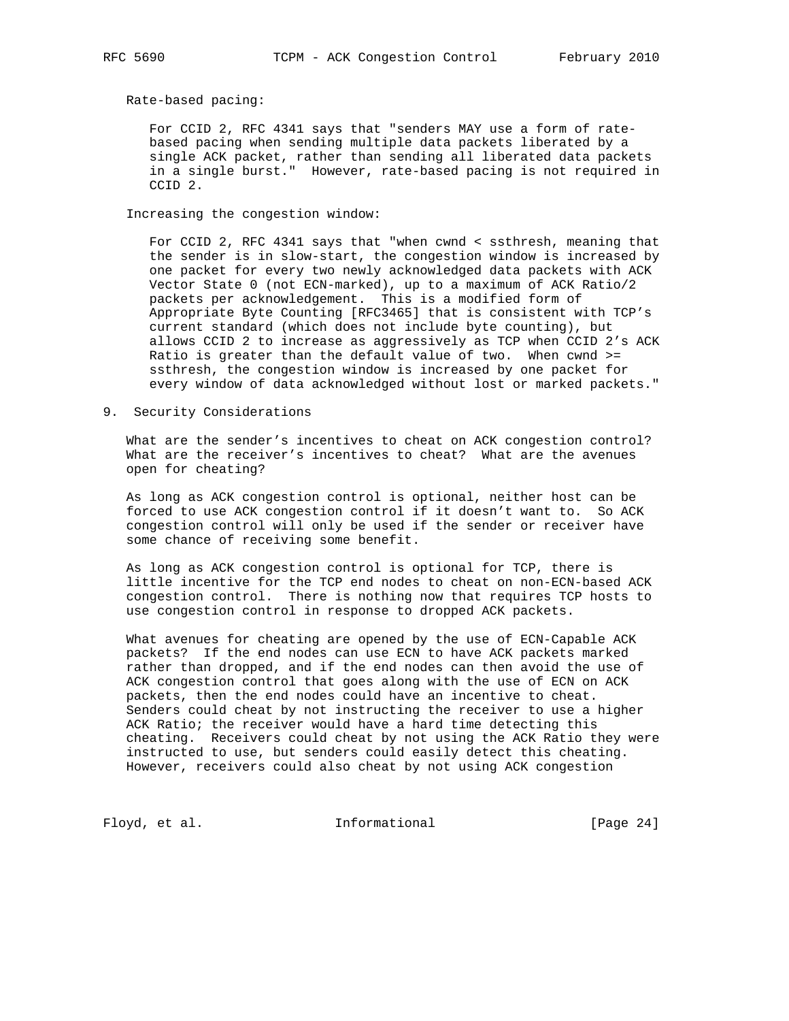Rate-based pacing:

 For CCID 2, RFC 4341 says that "senders MAY use a form of rate based pacing when sending multiple data packets liberated by a single ACK packet, rather than sending all liberated data packets in a single burst." However, rate-based pacing is not required in CCID 2.

Increasing the congestion window:

 For CCID 2, RFC 4341 says that "when cwnd < ssthresh, meaning that the sender is in slow-start, the congestion window is increased by one packet for every two newly acknowledged data packets with ACK Vector State 0 (not ECN-marked), up to a maximum of ACK Ratio/2 packets per acknowledgement. This is a modified form of Appropriate Byte Counting [RFC3465] that is consistent with TCP's current standard (which does not include byte counting), but allows CCID 2 to increase as aggressively as TCP when CCID 2's ACK Ratio is greater than the default value of two. When cwnd >= ssthresh, the congestion window is increased by one packet for every window of data acknowledged without lost or marked packets."

9. Security Considerations

 What are the sender's incentives to cheat on ACK congestion control? What are the receiver's incentives to cheat? What are the avenues open for cheating?

 As long as ACK congestion control is optional, neither host can be forced to use ACK congestion control if it doesn't want to. So ACK congestion control will only be used if the sender or receiver have some chance of receiving some benefit.

 As long as ACK congestion control is optional for TCP, there is little incentive for the TCP end nodes to cheat on non-ECN-based ACK congestion control. There is nothing now that requires TCP hosts to use congestion control in response to dropped ACK packets.

 What avenues for cheating are opened by the use of ECN-Capable ACK packets? If the end nodes can use ECN to have ACK packets marked rather than dropped, and if the end nodes can then avoid the use of ACK congestion control that goes along with the use of ECN on ACK packets, then the end nodes could have an incentive to cheat. Senders could cheat by not instructing the receiver to use a higher ACK Ratio; the receiver would have a hard time detecting this cheating. Receivers could cheat by not using the ACK Ratio they were instructed to use, but senders could easily detect this cheating. However, receivers could also cheat by not using ACK congestion

Floyd, et al. 1nformational [Page 24]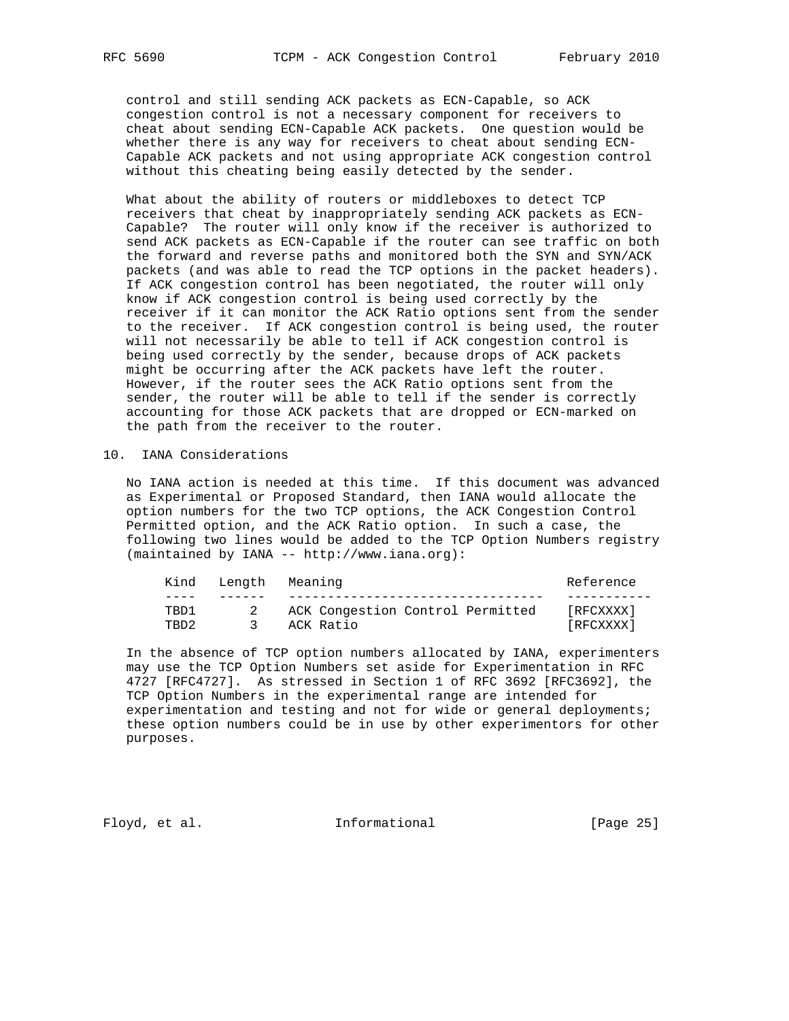control and still sending ACK packets as ECN-Capable, so ACK congestion control is not a necessary component for receivers to cheat about sending ECN-Capable ACK packets. One question would be whether there is any way for receivers to cheat about sending ECN- Capable ACK packets and not using appropriate ACK congestion control without this cheating being easily detected by the sender.

 What about the ability of routers or middleboxes to detect TCP receivers that cheat by inappropriately sending ACK packets as ECN- Capable? The router will only know if the receiver is authorized to send ACK packets as ECN-Capable if the router can see traffic on both the forward and reverse paths and monitored both the SYN and SYN/ACK packets (and was able to read the TCP options in the packet headers). If ACK congestion control has been negotiated, the router will only know if ACK congestion control is being used correctly by the receiver if it can monitor the ACK Ratio options sent from the sender to the receiver. If ACK congestion control is being used, the router will not necessarily be able to tell if ACK congestion control is being used correctly by the sender, because drops of ACK packets might be occurring after the ACK packets have left the router. However, if the router sees the ACK Ratio options sent from the sender, the router will be able to tell if the sender is correctly accounting for those ACK packets that are dropped or ECN-marked on the path from the receiver to the router.

## 10. IANA Considerations

 No IANA action is needed at this time. If this document was advanced as Experimental or Proposed Standard, then IANA would allocate the option numbers for the two TCP options, the ACK Congestion Control Permitted option, and the ACK Ratio option. In such a case, the following two lines would be added to the TCP Option Numbers registry (maintained by IANA -- http://www.iana.org):

| [RFCXXXX] |  |
|-----------|--|
| [RFCXXXX] |  |
|           |  |

 In the absence of TCP option numbers allocated by IANA, experimenters may use the TCP Option Numbers set aside for Experimentation in RFC 4727 [RFC4727]. As stressed in Section 1 of RFC 3692 [RFC3692], the TCP Option Numbers in the experimental range are intended for experimentation and testing and not for wide or general deployments; these option numbers could be in use by other experimentors for other purposes.

Floyd, et al. 10 Informational [Page 25]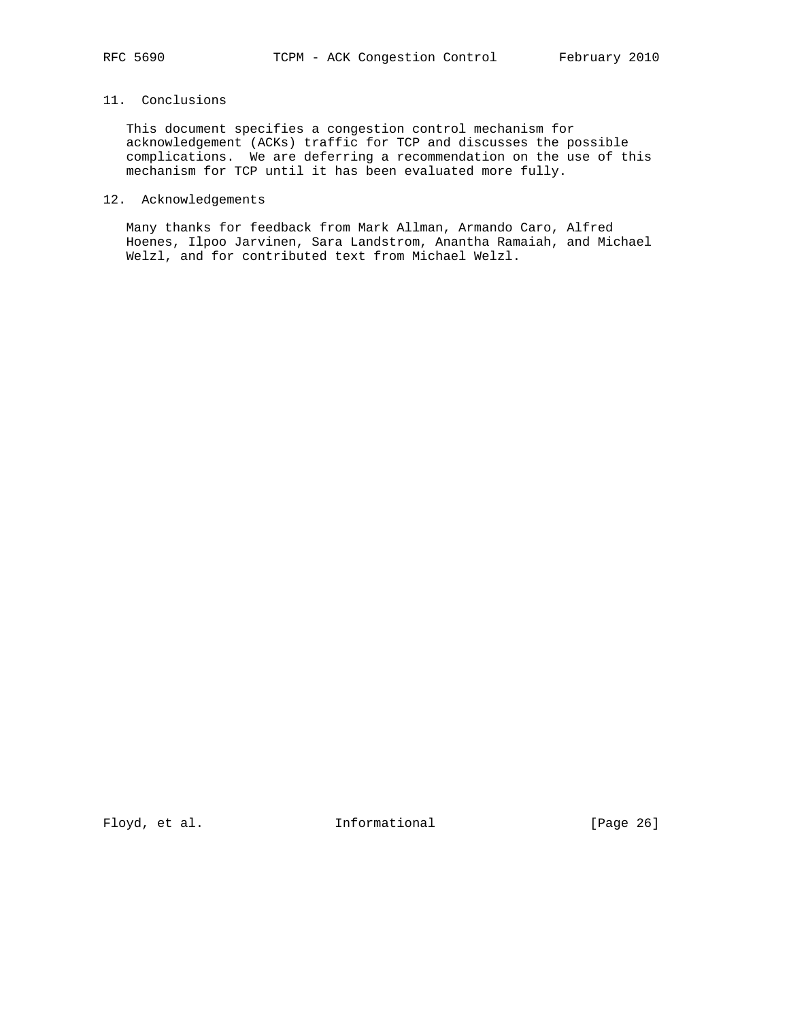# 11. Conclusions

 This document specifies a congestion control mechanism for acknowledgement (ACKs) traffic for TCP and discusses the possible complications. We are deferring a recommendation on the use of this mechanism for TCP until it has been evaluated more fully.

# 12. Acknowledgements

 Many thanks for feedback from Mark Allman, Armando Caro, Alfred Hoenes, Ilpoo Jarvinen, Sara Landstrom, Anantha Ramaiah, and Michael Welzl, and for contributed text from Michael Welzl.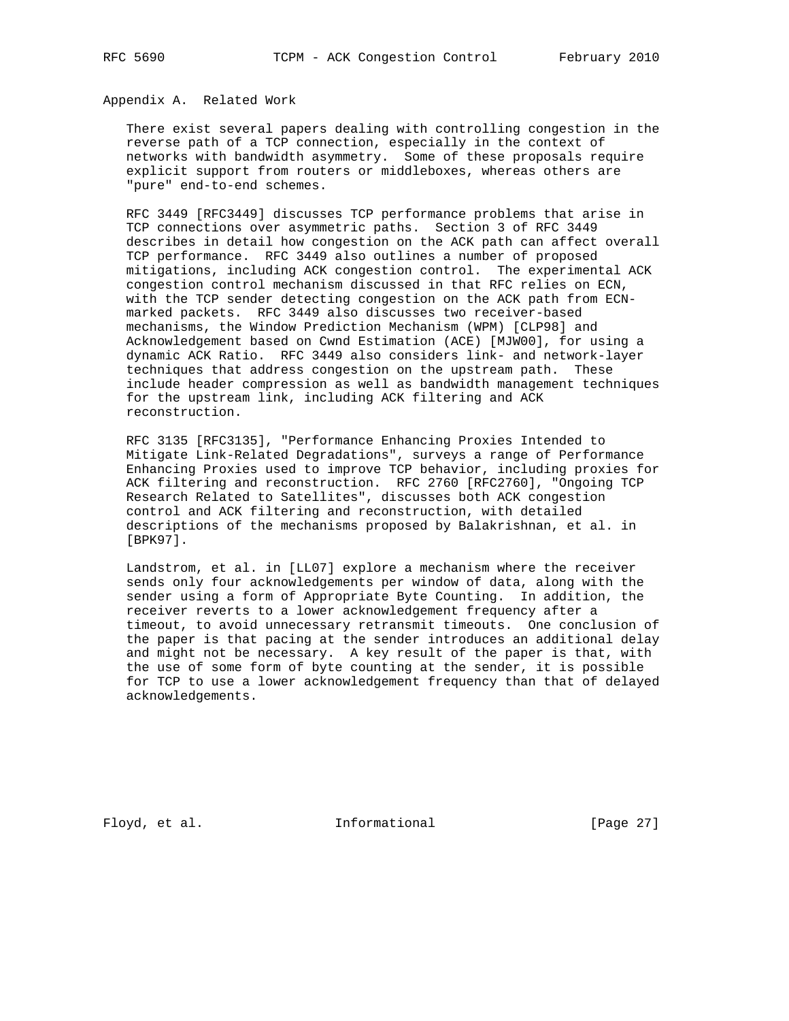# Appendix A. Related Work

 There exist several papers dealing with controlling congestion in the reverse path of a TCP connection, especially in the context of networks with bandwidth asymmetry. Some of these proposals require explicit support from routers or middleboxes, whereas others are "pure" end-to-end schemes.

 RFC 3449 [RFC3449] discusses TCP performance problems that arise in TCP connections over asymmetric paths. Section 3 of RFC 3449 describes in detail how congestion on the ACK path can affect overall TCP performance. RFC 3449 also outlines a number of proposed mitigations, including ACK congestion control. The experimental ACK congestion control mechanism discussed in that RFC relies on ECN, with the TCP sender detecting congestion on the ACK path from ECN marked packets. RFC 3449 also discusses two receiver-based mechanisms, the Window Prediction Mechanism (WPM) [CLP98] and Acknowledgement based on Cwnd Estimation (ACE) [MJW00], for using a dynamic ACK Ratio. RFC 3449 also considers link- and network-layer techniques that address congestion on the upstream path. These include header compression as well as bandwidth management techniques for the upstream link, including ACK filtering and ACK reconstruction.

 RFC 3135 [RFC3135], "Performance Enhancing Proxies Intended to Mitigate Link-Related Degradations", surveys a range of Performance Enhancing Proxies used to improve TCP behavior, including proxies for ACK filtering and reconstruction. RFC 2760 [RFC2760], "Ongoing TCP Research Related to Satellites", discusses both ACK congestion control and ACK filtering and reconstruction, with detailed descriptions of the mechanisms proposed by Balakrishnan, et al. in [BPK97].

 Landstrom, et al. in [LL07] explore a mechanism where the receiver sends only four acknowledgements per window of data, along with the sender using a form of Appropriate Byte Counting. In addition, the receiver reverts to a lower acknowledgement frequency after a timeout, to avoid unnecessary retransmit timeouts. One conclusion of the paper is that pacing at the sender introduces an additional delay and might not be necessary. A key result of the paper is that, with the use of some form of byte counting at the sender, it is possible for TCP to use a lower acknowledgement frequency than that of delayed acknowledgements.

Floyd, et al. 100 Informational [Page 27]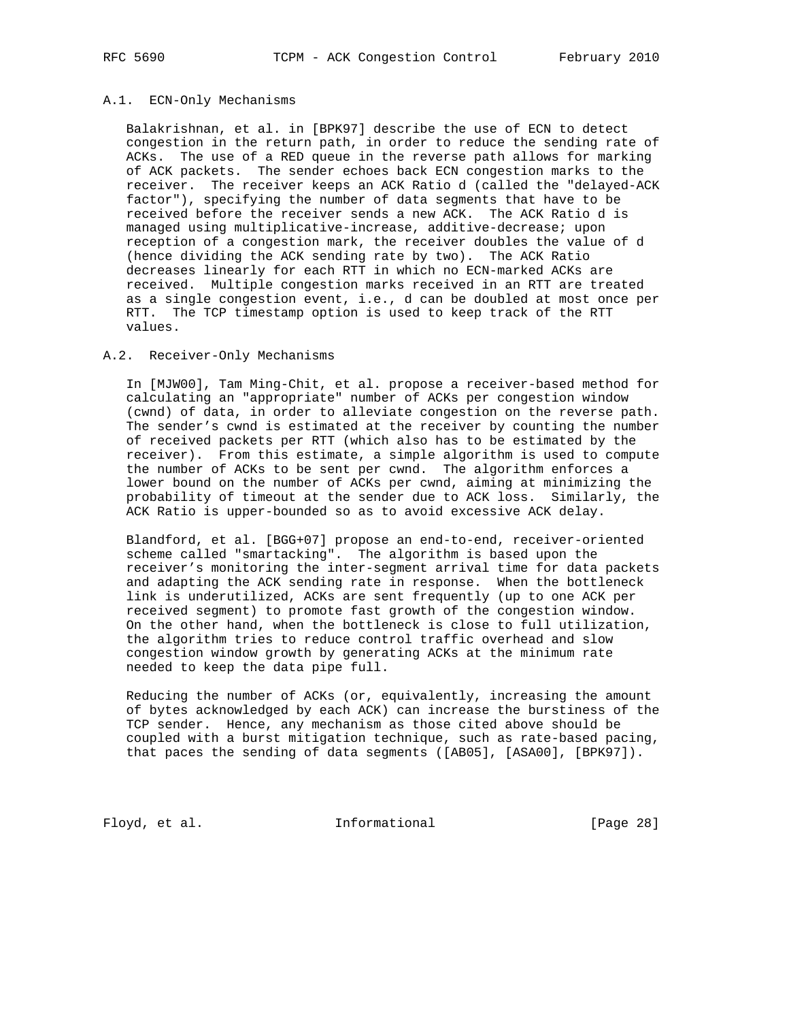#### A.1. ECN-Only Mechanisms

 Balakrishnan, et al. in [BPK97] describe the use of ECN to detect congestion in the return path, in order to reduce the sending rate of ACKs. The use of a RED queue in the reverse path allows for marking of ACK packets. The sender echoes back ECN congestion marks to the receiver. The receiver keeps an ACK Ratio d (called the "delayed-ACK factor"), specifying the number of data segments that have to be received before the receiver sends a new ACK. The ACK Ratio d is managed using multiplicative-increase, additive-decrease; upon reception of a congestion mark, the receiver doubles the value of d (hence dividing the ACK sending rate by two). The ACK Ratio decreases linearly for each RTT in which no ECN-marked ACKs are received. Multiple congestion marks received in an RTT are treated as a single congestion event, i.e., d can be doubled at most once per RTT. The TCP timestamp option is used to keep track of the RTT values.

### A.2. Receiver-Only Mechanisms

 In [MJW00], Tam Ming-Chit, et al. propose a receiver-based method for calculating an "appropriate" number of ACKs per congestion window (cwnd) of data, in order to alleviate congestion on the reverse path. The sender's cwnd is estimated at the receiver by counting the number of received packets per RTT (which also has to be estimated by the receiver). From this estimate, a simple algorithm is used to compute the number of ACKs to be sent per cwnd. The algorithm enforces a lower bound on the number of ACKs per cwnd, aiming at minimizing the probability of timeout at the sender due to ACK loss. Similarly, the ACK Ratio is upper-bounded so as to avoid excessive ACK delay.

 Blandford, et al. [BGG+07] propose an end-to-end, receiver-oriented scheme called "smartacking". The algorithm is based upon the receiver's monitoring the inter-segment arrival time for data packets and adapting the ACK sending rate in response. When the bottleneck link is underutilized, ACKs are sent frequently (up to one ACK per received segment) to promote fast growth of the congestion window. On the other hand, when the bottleneck is close to full utilization, the algorithm tries to reduce control traffic overhead and slow congestion window growth by generating ACKs at the minimum rate needed to keep the data pipe full.

 Reducing the number of ACKs (or, equivalently, increasing the amount of bytes acknowledged by each ACK) can increase the burstiness of the TCP sender. Hence, any mechanism as those cited above should be coupled with a burst mitigation technique, such as rate-based pacing, that paces the sending of data segments ([AB05], [ASA00], [BPK97]).

Floyd, et al. 100 Informational [Page 28]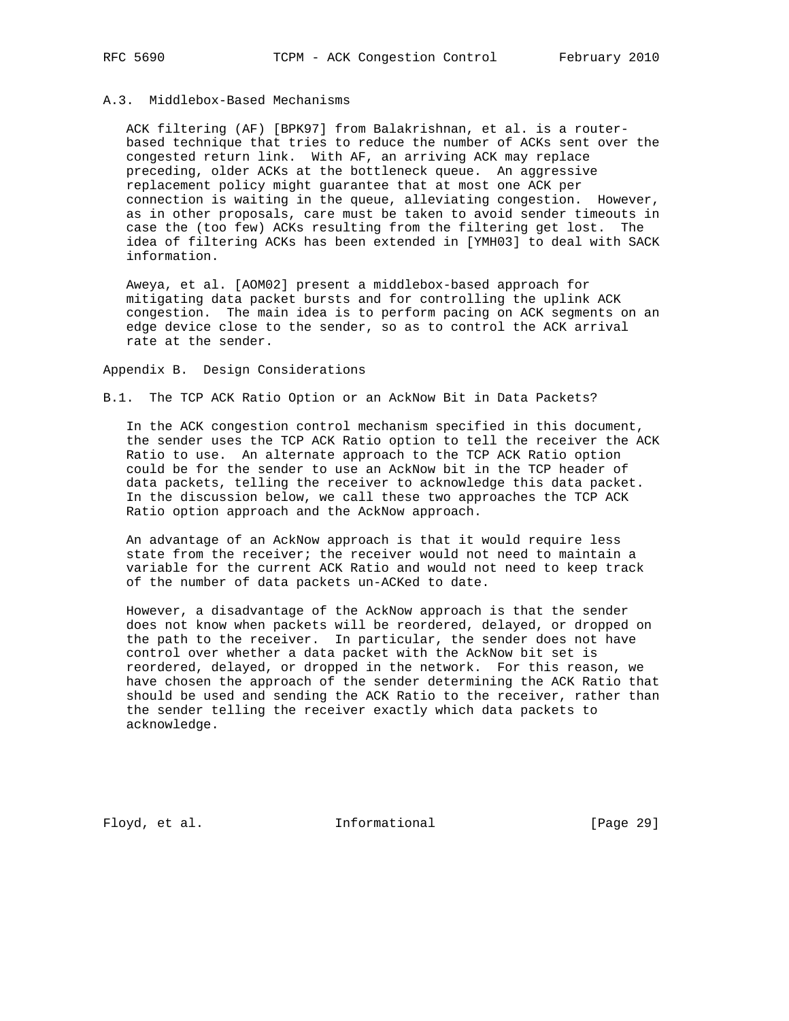# A.3. Middlebox-Based Mechanisms

 ACK filtering (AF) [BPK97] from Balakrishnan, et al. is a router based technique that tries to reduce the number of ACKs sent over the congested return link. With AF, an arriving ACK may replace preceding, older ACKs at the bottleneck queue. An aggressive replacement policy might guarantee that at most one ACK per connection is waiting in the queue, alleviating congestion. However, as in other proposals, care must be taken to avoid sender timeouts in case the (too few) ACKs resulting from the filtering get lost. The idea of filtering ACKs has been extended in [YMH03] to deal with SACK information.

 Aweya, et al. [AOM02] present a middlebox-based approach for mitigating data packet bursts and for controlling the uplink ACK congestion. The main idea is to perform pacing on ACK segments on an edge device close to the sender, so as to control the ACK arrival rate at the sender.

Appendix B. Design Considerations

# B.1. The TCP ACK Ratio Option or an AckNow Bit in Data Packets?

 In the ACK congestion control mechanism specified in this document, the sender uses the TCP ACK Ratio option to tell the receiver the ACK Ratio to use. An alternate approach to the TCP ACK Ratio option could be for the sender to use an AckNow bit in the TCP header of data packets, telling the receiver to acknowledge this data packet. In the discussion below, we call these two approaches the TCP ACK Ratio option approach and the AckNow approach.

 An advantage of an AckNow approach is that it would require less state from the receiver; the receiver would not need to maintain a variable for the current ACK Ratio and would not need to keep track of the number of data packets un-ACKed to date.

 However, a disadvantage of the AckNow approach is that the sender does not know when packets will be reordered, delayed, or dropped on the path to the receiver. In particular, the sender does not have control over whether a data packet with the AckNow bit set is reordered, delayed, or dropped in the network. For this reason, we have chosen the approach of the sender determining the ACK Ratio that should be used and sending the ACK Ratio to the receiver, rather than the sender telling the receiver exactly which data packets to acknowledge.

Floyd, et al. 1nformational [Page 29]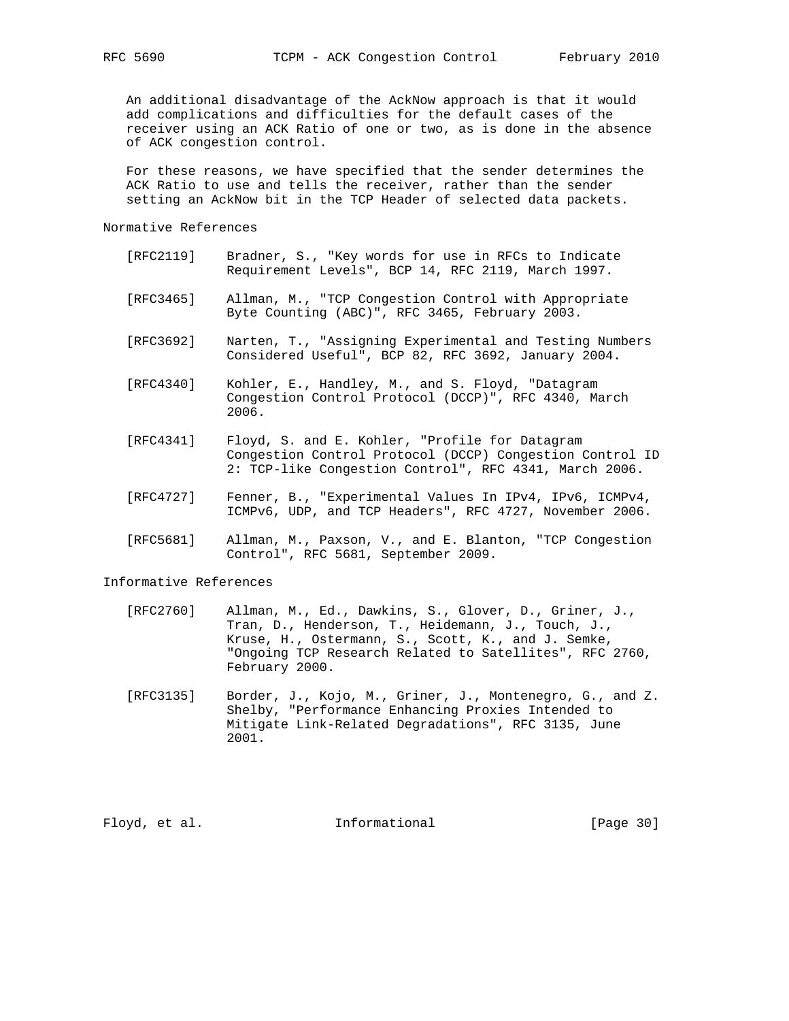An additional disadvantage of the AckNow approach is that it would add complications and difficulties for the default cases of the receiver using an ACK Ratio of one or two, as is done in the absence of ACK congestion control.

 For these reasons, we have specified that the sender determines the ACK Ratio to use and tells the receiver, rather than the sender setting an AckNow bit in the TCP Header of selected data packets.

## Normative References

- [RFC2119] Bradner, S., "Key words for use in RFCs to Indicate Requirement Levels", BCP 14, RFC 2119, March 1997.
- [RFC3465] Allman, M., "TCP Congestion Control with Appropriate Byte Counting (ABC)", RFC 3465, February 2003.
- [RFC3692] Narten, T., "Assigning Experimental and Testing Numbers Considered Useful", BCP 82, RFC 3692, January 2004.
- [RFC4340] Kohler, E., Handley, M., and S. Floyd, "Datagram Congestion Control Protocol (DCCP)", RFC 4340, March 2006.
- [RFC4341] Floyd, S. and E. Kohler, "Profile for Datagram Congestion Control Protocol (DCCP) Congestion Control ID 2: TCP-like Congestion Control", RFC 4341, March 2006.
- [RFC4727] Fenner, B., "Experimental Values In IPv4, IPv6, ICMPv4, ICMPv6, UDP, and TCP Headers", RFC 4727, November 2006.
- [RFC5681] Allman, M., Paxson, V., and E. Blanton, "TCP Congestion Control", RFC 5681, September 2009.

#### Informative References

- [RFC2760] Allman, M., Ed., Dawkins, S., Glover, D., Griner, J., Tran, D., Henderson, T., Heidemann, J., Touch, J., Kruse, H., Ostermann, S., Scott, K., and J. Semke, "Ongoing TCP Research Related to Satellites", RFC 2760, February 2000.
- [RFC3135] Border, J., Kojo, M., Griner, J., Montenegro, G., and Z. Shelby, "Performance Enhancing Proxies Intended to Mitigate Link-Related Degradations", RFC 3135, June 2001.

Floyd, et al. 100 Informational 100 [Page 30]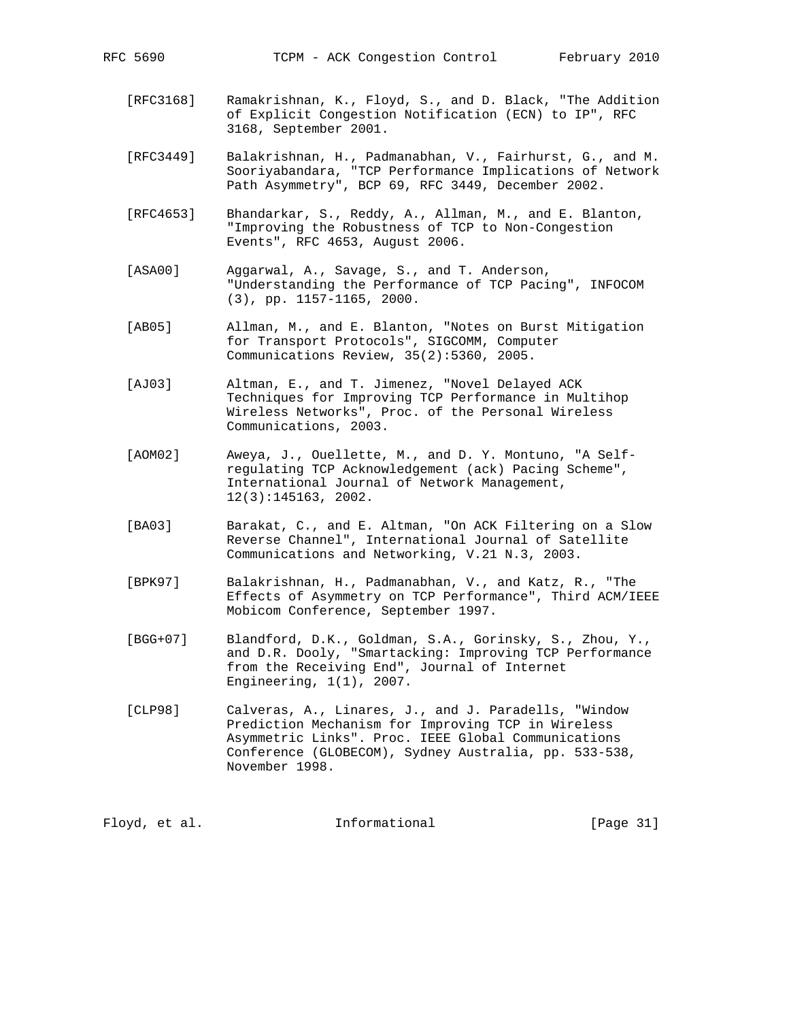- [RFC3168] Ramakrishnan, K., Floyd, S., and D. Black, "The Addition of Explicit Congestion Notification (ECN) to IP", RFC 3168, September 2001.
- [RFC3449] Balakrishnan, H., Padmanabhan, V., Fairhurst, G., and M. Sooriyabandara, "TCP Performance Implications of Network Path Asymmetry", BCP 69, RFC 3449, December 2002.
- [RFC4653] Bhandarkar, S., Reddy, A., Allman, M., and E. Blanton, "Improving the Robustness of TCP to Non-Congestion Events", RFC 4653, August 2006.
- [ASA00] Aggarwal, A., Savage, S., and T. Anderson, "Understanding the Performance of TCP Pacing", INFOCOM (3), pp. 1157-1165, 2000.
- [AB05] Allman, M., and E. Blanton, "Notes on Burst Mitigation for Transport Protocols", SIGCOMM, Computer Communications Review, 35(2):5360, 2005.
- [AJ03] Altman, E., and T. Jimenez, "Novel Delayed ACK Techniques for Improving TCP Performance in Multihop Wireless Networks", Proc. of the Personal Wireless Communications, 2003.
- [AOM02] Aweya, J., Ouellette, M., and D. Y. Montuno, "A Self regulating TCP Acknowledgement (ack) Pacing Scheme", International Journal of Network Management, 12(3):145163, 2002.
- [BA03] Barakat, C., and E. Altman, "On ACK Filtering on a Slow Reverse Channel", International Journal of Satellite Communications and Networking, V.21 N.3, 2003.
- [BPK97] Balakrishnan, H., Padmanabhan, V., and Katz, R., "The Effects of Asymmetry on TCP Performance", Third ACM/IEEE Mobicom Conference, September 1997.
- [BGG+07] Blandford, D.K., Goldman, S.A., Gorinsky, S., Zhou, Y., and D.R. Dooly, "Smartacking: Improving TCP Performance from the Receiving End", Journal of Internet Engineering, 1(1), 2007.
- [CLP98] Calveras, A., Linares, J., and J. Paradells, "Window Prediction Mechanism for Improving TCP in Wireless Asymmetric Links". Proc. IEEE Global Communications Conference (GLOBECOM), Sydney Australia, pp. 533-538, November 1998.

Floyd, et al. Informational [Page 31]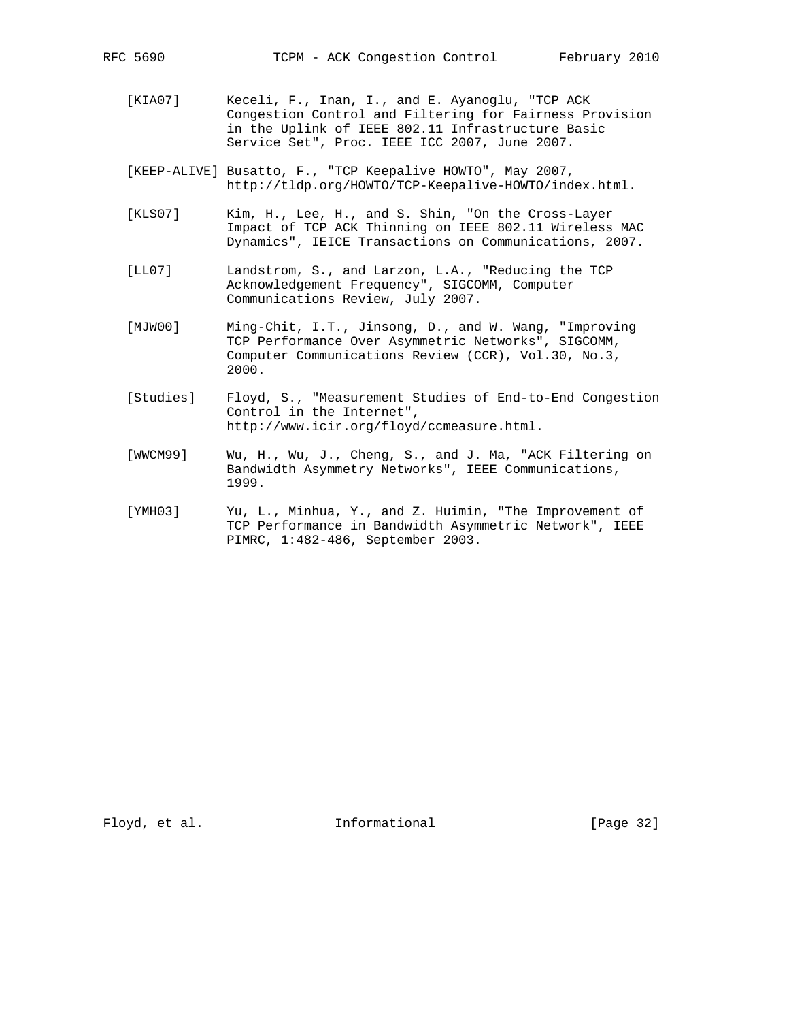- [KIA07] Keceli, F., Inan, I., and E. Ayanoglu, "TCP ACK Congestion Control and Filtering for Fairness Provision in the Uplink of IEEE 802.11 Infrastructure Basic Service Set", Proc. IEEE ICC 2007, June 2007.
- [KEEP-ALIVE] Busatto, F., "TCP Keepalive HOWTO", May 2007, http://tldp.org/HOWTO/TCP-Keepalive-HOWTO/index.html.
- [KLS07] Kim, H., Lee, H., and S. Shin, "On the Cross-Layer Impact of TCP ACK Thinning on IEEE 802.11 Wireless MAC Dynamics", IEICE Transactions on Communications, 2007.
- [LL07] Landstrom, S., and Larzon, L.A., "Reducing the TCP Acknowledgement Frequency", SIGCOMM, Computer Communications Review, July 2007.
- [MJW00] Ming-Chit, I.T., Jinsong, D., and W. Wang, "Improving TCP Performance Over Asymmetric Networks", SIGCOMM, Computer Communications Review (CCR), Vol.30, No.3, 2000.
- [Studies] Floyd, S., "Measurement Studies of End-to-End Congestion Control in the Internet", http://www.icir.org/floyd/ccmeasure.html.
- [WWCM99] Wu, H., Wu, J., Cheng, S., and J. Ma, "ACK Filtering on Bandwidth Asymmetry Networks", IEEE Communications, 1999.
- [YMH03] Yu, L., Minhua, Y., and Z. Huimin, "The Improvement of TCP Performance in Bandwidth Asymmetric Network", IEEE PIMRC, 1:482-486, September 2003.

Floyd, et al. 100 Informational 100 [Page 32]